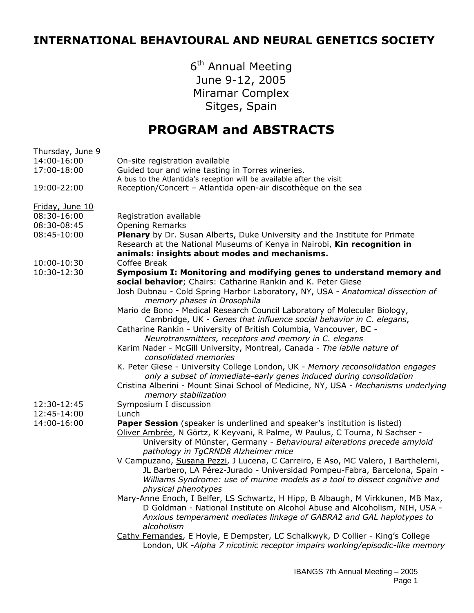## **INTERNATIONAL BEHAVIOURAL AND NEURAL GENETICS SOCIETY**

6<sup>th</sup> Annual Meeting June 9-12, 2005 Miramar Complex Sitges, Spain

## **PROGRAM and ABSTRACTS**

| Thursday, June 9 |                                                                                                                                                                                                                                                                            |
|------------------|----------------------------------------------------------------------------------------------------------------------------------------------------------------------------------------------------------------------------------------------------------------------------|
| 14:00-16:00      | On-site registration available                                                                                                                                                                                                                                             |
| 17:00-18:00      | Guided tour and wine tasting in Torres wineries.                                                                                                                                                                                                                           |
|                  | A bus to the Atlantida's reception will be available after the visit                                                                                                                                                                                                       |
| 19:00-22:00      | Reception/Concert - Atlantida open-air discothèque on the sea                                                                                                                                                                                                              |
| Friday, June 10  |                                                                                                                                                                                                                                                                            |
| 08:30-16:00      | Registration available                                                                                                                                                                                                                                                     |
| 08:30-08:45      | <b>Opening Remarks</b>                                                                                                                                                                                                                                                     |
| 08:45-10:00      | Plenary by Dr. Susan Alberts, Duke University and the Institute for Primate<br>Research at the National Museums of Kenya in Nairobi, Kin recognition in                                                                                                                    |
|                  | animals: insights about modes and mechanisms.                                                                                                                                                                                                                              |
| 10:00-10:30      | Coffee Break                                                                                                                                                                                                                                                               |
| 10:30-12:30      | Symposium I: Monitoring and modifying genes to understand memory and<br>social behavior; Chairs: Catharine Rankin and K. Peter Giese                                                                                                                                       |
|                  | Josh Dubnau - Cold Spring Harbor Laboratory, NY, USA - Anatomical dissection of<br>memory phases in Drosophila                                                                                                                                                             |
|                  | Mario de Bono - Medical Research Council Laboratory of Molecular Biology,<br>Cambridge, UK - Genes that influence social behavior in C. elegans,                                                                                                                           |
|                  | Catharine Rankin - University of British Columbia, Vancouver, BC -                                                                                                                                                                                                         |
|                  | Neurotransmitters, receptors and memory in C. elegans                                                                                                                                                                                                                      |
|                  | Karim Nader - McGill University, Montreal, Canada - The labile nature of                                                                                                                                                                                                   |
|                  | consolidated memories                                                                                                                                                                                                                                                      |
|                  | K. Peter Giese - University College London, UK - Memory reconsolidation engages                                                                                                                                                                                            |
|                  | only a subset of immediate-early genes induced during consolidation                                                                                                                                                                                                        |
|                  | Cristina Alberini - Mount Sinai School of Medicine, NY, USA - Mechanisms underlying<br>memory stabilization                                                                                                                                                                |
| 12:30-12:45      | Symposium I discussion                                                                                                                                                                                                                                                     |
| 12:45-14:00      | Lunch                                                                                                                                                                                                                                                                      |
| 14:00-16:00      | Paper Session (speaker is underlined and speaker's institution is listed)<br>Oliver Ambrée, N Görtz, K Keyvani, R Palme, W Paulus, C Touma, N Sachser -<br>University of Münster, Germany - Behavioural alterations precede amyloid<br>pathology in TgCRND8 Alzheimer mice |
|                  | V Campuzano, Susana Pezzi, J Lucena, C Carreiro, E Aso, MC Valero, I Barthelemi,<br>JL Barbero, LA Pérez-Jurado - Universidad Pompeu-Fabra, Barcelona, Spain -<br>Williams Syndrome: use of murine models as a tool to dissect cognitive and                               |
|                  | physical phenotypes                                                                                                                                                                                                                                                        |
|                  | Mary-Anne Enoch, I Belfer, LS Schwartz, H Hipp, B Albaugh, M Virkkunen, MB Max,                                                                                                                                                                                            |
|                  | D Goldman - National Institute on Alcohol Abuse and Alcoholism, NIH, USA -                                                                                                                                                                                                 |
|                  | Anxious temperament mediates linkage of GABRA2 and GAL haplotypes to<br>alcoholism                                                                                                                                                                                         |
|                  | Cathy Fernandes, E Hoyle, E Dempster, LC Schalkwyk, D Collier - King's College<br>London, UK -Alpha 7 nicotinic receptor impairs working/episodic-like memory                                                                                                              |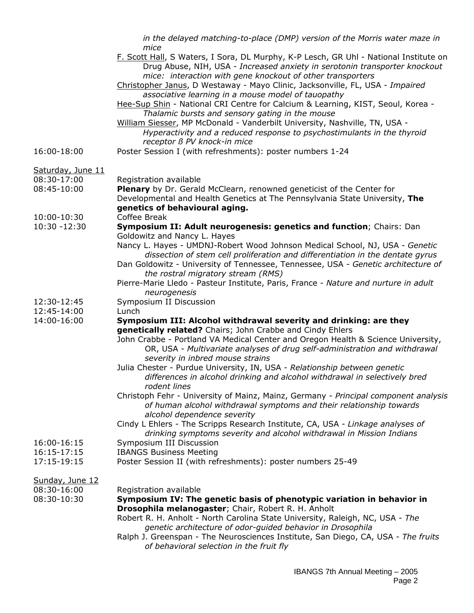|                            | in the delayed matching-to-place (DMP) version of the Morris water maze in<br>mice                                                                                                                                                |
|----------------------------|-----------------------------------------------------------------------------------------------------------------------------------------------------------------------------------------------------------------------------------|
|                            | F. Scott Hall, S Waters, I Sora, DL Murphy, K-P Lesch, GR Uhl - National Institute on<br>Drug Abuse, NIH, USA - Increased anxiety in serotonin transporter knockout<br>mice: interaction with gene knockout of other transporters |
|                            | Christopher Janus, D Westaway - Mayo Clinic, Jacksonville, FL, USA - Impaired<br>associative learning in a mouse model of tauopathy                                                                                               |
|                            | Hee-Sup Shin - National CRI Centre for Calcium & Learning, KIST, Seoul, Korea -<br>Thalamic bursts and sensory gating in the mouse                                                                                                |
|                            | William Siesser, MP McDonald - Vanderbilt University, Nashville, TN, USA -<br>Hyperactivity and a reduced response to psychostimulants in the thyroid<br>receptor B PV knock-in mice                                              |
| 16:00-18:00                | Poster Session I (with refreshments): poster numbers 1-24                                                                                                                                                                         |
| Saturday, June 11          |                                                                                                                                                                                                                                   |
| 08:30-17:00<br>08:45-10:00 | Registration available                                                                                                                                                                                                            |
|                            | Plenary by Dr. Gerald McClearn, renowned geneticist of the Center for<br>Developmental and Health Genetics at The Pennsylvania State University, The<br>genetics of behavioural aging.                                            |
| 10:00-10:30                | Coffee Break                                                                                                                                                                                                                      |
| $10:30 - 12:30$            | Symposium II: Adult neurogenesis: genetics and function; Chairs: Dan<br>Goldowitz and Nancy L. Hayes                                                                                                                              |
|                            | Nancy L. Hayes - UMDNJ-Robert Wood Johnson Medical School, NJ, USA - Genetic<br>dissection of stem cell proliferation and differentiation in the dentate gyrus                                                                    |
|                            | Dan Goldowitz - University of Tennessee, Tennessee, USA - Genetic architecture of                                                                                                                                                 |
|                            | the rostral migratory stream (RMS)<br>Pierre-Marie Lledo - Pasteur Institute, Paris, France - Nature and nurture in adult                                                                                                         |
|                            | neurogenesis                                                                                                                                                                                                                      |
| 12:30-12:45                | Symposium II Discussion                                                                                                                                                                                                           |
| 12:45-14:00                | Lunch                                                                                                                                                                                                                             |
| 14:00-16:00                | Symposium III: Alcohol withdrawal severity and drinking: are they<br>genetically related? Chairs; John Crabbe and Cindy Ehlers                                                                                                    |
|                            | John Crabbe - Portland VA Medical Center and Oregon Health & Science University,<br>OR, USA - Multivariate analyses of drug self-administration and withdrawal<br>severity in inbred mouse strains                                |
|                            | Julia Chester - Purdue University, IN, USA - Relationship between genetic<br>differences in alcohol drinking and alcohol withdrawal in selectively bred                                                                           |
|                            | rodent lines                                                                                                                                                                                                                      |
|                            | Christoph Fehr - University of Mainz, Mainz, Germany - Principal component analysis<br>of human alcohol withdrawal symptoms and their relationship towards<br>alcohol dependence severity                                         |
|                            | Cindy L Ehlers - The Scripps Research Institute, CA, USA - Linkage analyses of<br>drinking symptoms severity and alcohol withdrawal in Mission Indians                                                                            |
| 16:00-16:15                | Symposium III Discussion                                                                                                                                                                                                          |
| 16:15-17:15                | <b>IBANGS Business Meeting</b>                                                                                                                                                                                                    |
| 17:15-19:15                | Poster Session II (with refreshments): poster numbers 25-49                                                                                                                                                                       |
| Sunday, June 12            |                                                                                                                                                                                                                                   |
| 08:30-16:00<br>08:30-10:30 | Registration available<br>Symposium IV: The genetic basis of phenotypic variation in behavior in                                                                                                                                  |
|                            | Drosophila melanogaster; Chair, Robert R. H. Anholt<br>Robert R. H. Anholt - North Carolina State University, Raleigh, NC, USA - The                                                                                              |
|                            | genetic architecture of odor-guided behavior in Drosophila                                                                                                                                                                        |
|                            | Ralph J. Greenspan - The Neurosciences Institute, San Diego, CA, USA - The fruits<br>of behavioral selection in the fruit fly                                                                                                     |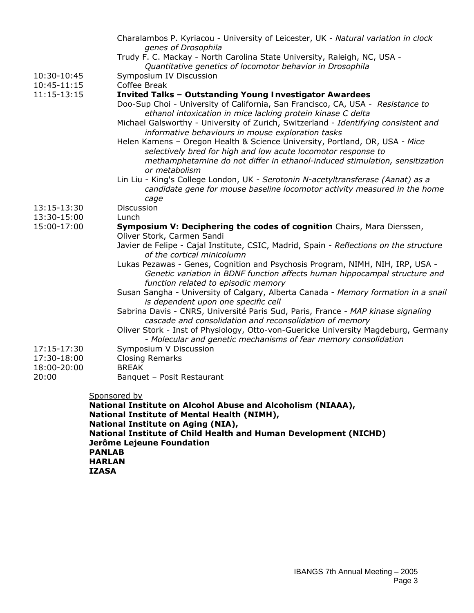|                                             | Charalambos P. Kyriacou - University of Leicester, UK - Natural variation in clock                                                                            |  |
|---------------------------------------------|---------------------------------------------------------------------------------------------------------------------------------------------------------------|--|
|                                             | genes of Drosophila<br>Trudy F. C. Mackay - North Carolina State University, Raleigh, NC, USA -                                                               |  |
|                                             | Quantitative genetics of locomotor behavior in Drosophila                                                                                                     |  |
| 10:30-10:45                                 | Symposium IV Discussion                                                                                                                                       |  |
| 10:45-11:15                                 | Coffee Break                                                                                                                                                  |  |
| 11:15-13:15                                 | Invited Talks - Outstanding Young Investigator Awardees                                                                                                       |  |
|                                             | Doo-Sup Choi - University of California, San Francisco, CA, USA - Resistance to<br>ethanol intoxication in mice lacking protein kinase C delta                |  |
|                                             | Michael Galsworthy - University of Zurich, Switzerland - Identifying consistent and                                                                           |  |
|                                             | informative behaviours in mouse exploration tasks                                                                                                             |  |
|                                             | Helen Kamens - Oregon Health & Science University, Portland, OR, USA - Mice                                                                                   |  |
|                                             | selectively bred for high and low acute locomotor response to                                                                                                 |  |
|                                             | methamphetamine do not differ in ethanol-induced stimulation, sensitization                                                                                   |  |
|                                             | or metabolism                                                                                                                                                 |  |
|                                             | Lin Liu - King's College London, UK - Serotonin N-acetyltransferase (Aanat) as a<br>candidate gene for mouse baseline locomotor activity measured in the home |  |
|                                             | cage                                                                                                                                                          |  |
| 13:15-13:30                                 | Discussion                                                                                                                                                    |  |
| 13:30-15:00                                 | Lunch                                                                                                                                                         |  |
| 15:00-17:00                                 | Symposium V: Deciphering the codes of cognition Chairs, Mara Dierssen,                                                                                        |  |
|                                             | Oliver Stork, Carmen Sandi                                                                                                                                    |  |
|                                             | Javier de Felipe - Cajal Institute, CSIC, Madrid, Spain - Reflections on the structure<br>of the cortical minicolumn                                          |  |
|                                             | Lukas Pezawas - Genes, Cognition and Psychosis Program, NIMH, NIH, IRP, USA -                                                                                 |  |
|                                             | Genetic variation in BDNF function affects human hippocampal structure and                                                                                    |  |
|                                             | function related to episodic memory                                                                                                                           |  |
|                                             | Susan Sangha - University of Calgary, Alberta Canada - Memory formation in a snail                                                                            |  |
|                                             | is dependent upon one specific cell                                                                                                                           |  |
|                                             | Sabrina Davis - CNRS, Université Paris Sud, Paris, France - MAP kinase signaling                                                                              |  |
|                                             | cascade and consolidation and reconsolidation of memory<br>Oliver Stork - Inst of Physiology, Otto-von-Guericke University Magdeburg, Germany                 |  |
|                                             | - Molecular and genetic mechanisms of fear memory consolidation                                                                                               |  |
| 17:15-17:30                                 | Symposium V Discussion                                                                                                                                        |  |
| 17:30-18:00                                 | <b>Closing Remarks</b>                                                                                                                                        |  |
| 18:00-20:00                                 | <b>BREAK</b>                                                                                                                                                  |  |
| 20:00                                       | Banquet - Posit Restaurant                                                                                                                                    |  |
|                                             | Sponsored by                                                                                                                                                  |  |
|                                             | National Institute on Alcohol Abuse and Alcoholism (NIAAA),                                                                                                   |  |
| National Institute of Mental Health (NIMH), |                                                                                                                                                               |  |
|                                             | National Institute on Aging (NIA),                                                                                                                            |  |

**National Institute of Child Health and Human Development (NICHD) Jerôme Lejeune Foundation PANLAB** 

**HARLAN** 

**IZASA**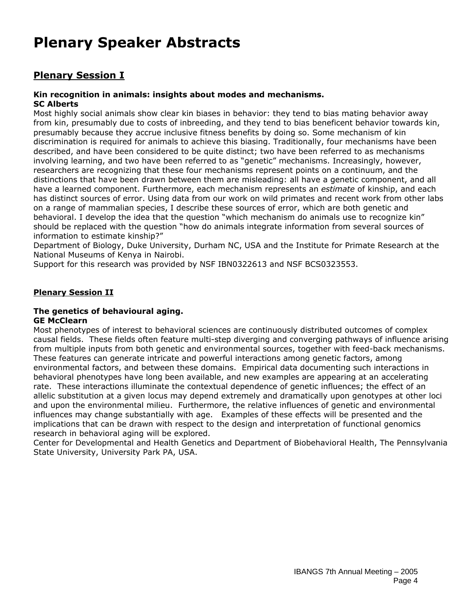# **Plenary Speaker Abstracts**

## **Plenary Session I**

## **Kin recognition in animals: insights about modes and mechanisms.**

**SC Alberts**

Most highly social animals show clear kin biases in behavior: they tend to bias mating behavior away from kin, presumably due to costs of inbreeding, and they tend to bias beneficent behavior towards kin, presumably because they accrue inclusive fitness benefits by doing so. Some mechanism of kin discrimination is required for animals to achieve this biasing. Traditionally, four mechanisms have been described, and have been considered to be quite distinct; two have been referred to as mechanisms involving learning, and two have been referred to as "genetic" mechanisms. Increasingly, however, researchers are recognizing that these four mechanisms represent points on a continuum, and the distinctions that have been drawn between them are misleading: all have a genetic component, and all have a learned component. Furthermore, each mechanism represents an *estimate* of kinship, and each has distinct sources of error. Using data from our work on wild primates and recent work from other labs on a range of mammalian species, I describe these sources of error, which are both genetic and behavioral. I develop the idea that the question "which mechanism do animals use to recognize kin" should be replaced with the question "how do animals integrate information from several sources of information to estimate kinship?"

Department of Biology, Duke University, Durham NC, USA and the Institute for Primate Research at the National Museums of Kenya in Nairobi.

Support for this research was provided by NSF IBN0322613 and NSF BCS0323553.

## **Plenary Session II**

#### **The genetics of behavioural aging. GE McClearn**

Most phenotypes of interest to behavioral sciences are continuously distributed outcomes of complex causal fields. These fields often feature multi-step diverging and converging pathways of influence arising from multiple inputs from both genetic and environmental sources, together with feed-back mechanisms. These features can generate intricate and powerful interactions among genetic factors, among environmental factors, and between these domains. Empirical data documenting such interactions in behavioral phenotypes have long been available, and new examples are appearing at an accelerating rate. These interactions illuminate the contextual dependence of genetic influences; the effect of an allelic substitution at a given locus may depend extremely and dramatically upon genotypes at other loci and upon the environmental milieu. Furthermore, the relative influences of genetic and environmental influences may change substantially with age. Examples of these effects will be presented and the implications that can be drawn with respect to the design and interpretation of functional genomics research in behavioral aging will be explored.

Center for Developmental and Health Genetics and Department of Biobehavioral Health, The Pennsylvania State University, University Park PA, USA.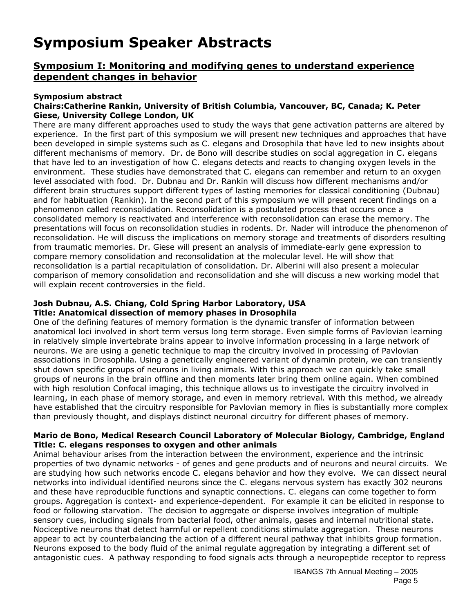## **Symposium Speaker Abstracts**

## **Symposium I: Monitoring and modifying genes to understand experience dependent changes in behavior**

#### **Symposium abstract**

#### **Chairs:Catherine Rankin, University of British Columbia, Vancouver, BC, Canada; K. Peter Giese, University College London, UK**

There are many different approaches used to study the ways that gene activation patterns are altered by experience. In the first part of this symposium we will present new techniques and approaches that have been developed in simple systems such as C. elegans and Drosophila that have led to new insights about different mechanisms of memory. Dr. de Bono will describe studies on social aggregation in C. elegans that have led to an investigation of how C. elegans detects and reacts to changing oxygen levels in the environment. These studies have demonstrated that C. elegans can remember and return to an oxygen level associated with food. Dr. Dubnau and Dr. Rankin will discuss how different mechanisms and/or different brain structures support different types of lasting memories for classical conditioning (Dubnau) and for habituation (Rankin). In the second part of this symposium we will present recent findings on a phenomenon called reconsolidation. Reconsolidation is a postulated process that occurs once a consolidated memory is reactivated and interference with reconsolidation can erase the memory. The presentations will focus on reconsolidation studies in rodents. Dr. Nader will introduce the phenomenon of reconsolidation. He will discuss the implications on memory storage and treatments of disorders resulting from traumatic memories. Dr. Giese will present an analysis of immediate-early gene expression to compare memory consolidation and reconsolidation at the molecular level. He will show that reconsolidation is a partial recapitulation of consolidation. Dr. Alberini will also present a molecular comparison of memory consolidation and reconsolidation and she will discuss a new working model that will explain recent controversies in the field.

#### **Josh Dubnau, A.S. Chiang, Cold Spring Harbor Laboratory, USA Title: Anatomical dissection of memory phases in Drosophila**

One of the defining features of memory formation is the dynamic transfer of information between anatomical loci involved in short term versus long term storage. Even simple forms of Pavlovian learning in relatively simple invertebrate brains appear to involve information processing in a large network of neurons. We are using a genetic technique to map the circuitry involved in processing of Pavlovian associations in Drosophila. Using a genetically engineered variant of dynamin protein, we can transiently shut down specific groups of neurons in living animals. With this approach we can quickly take small groups of neurons in the brain offline and then moments later bring them online again. When combined with high resolution Confocal imaging, this technique allows us to investigate the circuitry involved in learning, in each phase of memory storage, and even in memory retrieval. With this method, we already have established that the circuitry responsible for Pavlovian memory in flies is substantially more complex than previously thought, and displays distinct neuronal circuitry for different phases of memory.

#### **Mario de Bono, Medical Research Council Laboratory of Molecular Biology, Cambridge, England Title:** *C. elegans* **responses to oxygen and other animals**

Animal behaviour arises from the interaction between the environment, experience and the intrinsic properties of two dynamic networks - of genes and gene products and of neurons and neural circuits. We are studying how such networks encode C. elegans behavior and how they evolve. We can dissect neural networks into individual identified neurons since the C. elegans nervous system has exactly 302 neurons and these have reproducible functions and synaptic connections. C. elegans can come together to form groups. Aggregation is context- and experience-dependent. For example it can be elicited in response to food or following starvation. The decision to aggregate or disperse involves integration of multiple sensory cues, including signals from bacterial food, other animals, gases and internal nutritional state. Nociceptive neurons that detect harmful or repellent conditions stimulate aggregation. These neurons appear to act by counterbalancing the action of a different neural pathway that inhibits group formation. Neurons exposed to the body fluid of the animal regulate aggregation by integrating a different set of antagonistic cues. A pathway responding to food signals acts through a neuropeptide receptor to repress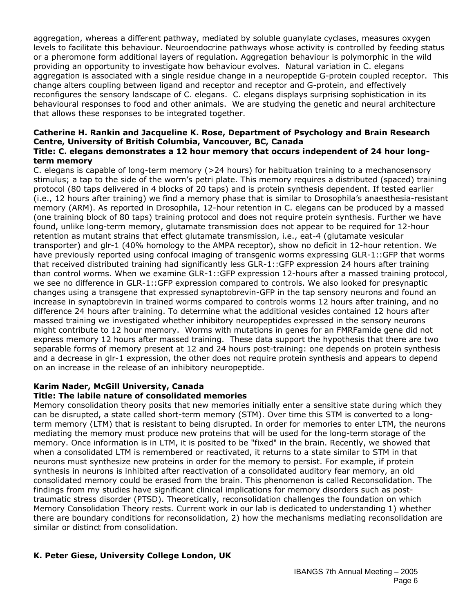aggregation, whereas a different pathway, mediated by soluble guanylate cyclases, measures oxygen levels to facilitate this behaviour. Neuroendocrine pathways whose activity is controlled by feeding status or a pheromone form additional layers of regulation. Aggregation behaviour is polymorphic in the wild providing an opportunity to investigate how behaviour evolves. Natural variation in C. elegans aggregation is associated with a single residue change in a neuropeptide G-protein coupled receptor. This change alters coupling between ligand and receptor and receptor and G-protein, and effectively reconfigures the sensory landscape of C. elegans. C. elegans displays surprising sophistication in its behavioural responses to food and other animals. We are studying the genetic and neural architecture that allows these responses to be integrated together.

#### **Catherine H. Rankin and Jacqueline K. Rose, Department of Psychology and Brain Research Centre, University of British Columbia, Vancouver, BC, Canada Title:** *C. elegans* **demonstrates a 12 hour memory that occurs independent of 24 hour longterm memory**

C. elegans is capable of long-term memory (>24 hours) for habituation training to a mechanosensory stimulus; a tap to the side of the worm's petri plate. This memory requires a distributed (spaced) training protocol (80 taps delivered in 4 blocks of 20 taps) and is protein synthesis dependent. If tested earlier (i.e., 12 hours after training) we find a memory phase that is similar to Drosophila's anaesthesia-resistant memory (ARM). As reported in Drosophila, 12-hour retention in C. elegans can be produced by a massed (one training block of 80 taps) training protocol and does not require protein synthesis. Further we have found, unlike long-term memory, glutamate transmission does not appear to be required for 12-hour retention as mutant strains that effect glutamate transmission, i.e., eat-4 (glutamate vesicular transporter) and glr-1 (40% homology to the AMPA receptor), show no deficit in 12-hour retention. We have previously reported using confocal imaging of transgenic worms expressing GLR-1::GFP that worms that received distributed training had significantly less GLR-1::GFP expression 24 hours after training than control worms. When we examine GLR-1::GFP expression 12-hours after a massed training protocol, we see no difference in GLR-1::GFP expression compared to controls. We also looked for presynaptic changes using a transgene that expressed synaptobrevin-GFP in the tap sensory neurons and found an increase in synaptobrevin in trained worms compared to controls worms 12 hours after training, and no difference 24 hours after training. To determine what the additional vesicles contained 12 hours after massed training we investigated whether inhibitory neuropeptides expressed in the sensory neurons might contribute to 12 hour memory. Worms with mutations in genes for an FMRFamide gene did not express memory 12 hours after massed training. These data support the hypothesis that there are two separable forms of memory present at 12 and 24 hours post-training: one depends on protein synthesis and a decrease in glr-1 expression, the other does not require protein synthesis and appears to depend on an increase in the release of an inhibitory neuropeptide.

## **Karim Nader, McGill University, Canada**

#### **Title: The labile nature of consolidated memories**

Memory consolidation theory posits that new memories initially enter a sensitive state during which they can be disrupted, a state called short-term memory (STM). Over time this STM is converted to a longterm memory (LTM) that is resistant to being disrupted. In order for memories to enter LTM, the neurons mediating the memory must produce new proteins that will be used for the long-term storage of the memory. Once information is in LTM, it is posited to be "fixed" in the brain. Recently, we showed that when a consolidated LTM is remembered or reactivated, it returns to a state similar to STM in that neurons must synthesize new proteins in order for the memory to persist. For example, if protein synthesis in neurons is inhibited after reactivation of a consolidated auditory fear memory, an old consolidated memory could be erased from the brain. This phenomenon is called Reconsolidation. The findings from my studies have significant clinical implications for memory disorders such as posttraumatic stress disorder (PTSD). Theoretically, reconsolidation challenges the foundation on which Memory Consolidation Theory rests. Current work in our lab is dedicated to understanding 1) whether there are boundary conditions for reconsolidation, 2) how the mechanisms mediating reconsolidation are similar or distinct from consolidation.

## **K. Peter Giese, University College London, UK**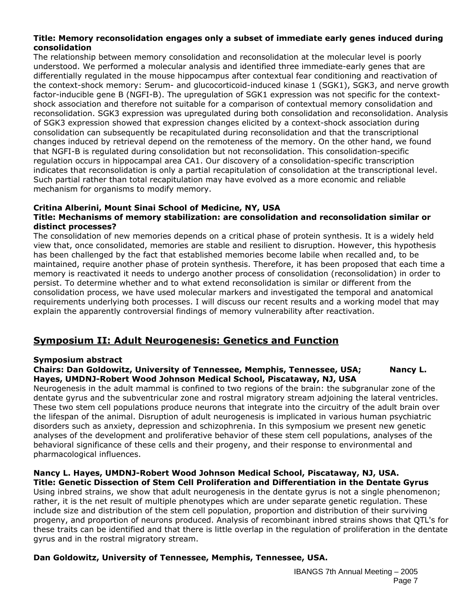#### **Title: Memory reconsolidation engages only a subset of immediate early genes induced during consolidation**

The relationship between memory consolidation and reconsolidation at the molecular level is poorly understood. We performed a molecular analysis and identified three immediate-early genes that are differentially regulated in the mouse hippocampus after contextual fear conditioning and reactivation of the context-shock memory: Serum- and glucocorticoid-induced kinase 1 (SGK1), SGK3, and nerve growth factor-inducible gene B (NGFI-B). The upregulation of SGK1 expression was not specific for the contextshock association and therefore not suitable for a comparison of contextual memory consolidation and reconsolidation. SGK3 expression was upregulated during both consolidation and reconsolidation. Analysis of SGK3 expression showed that expression changes elicited by a context-shock association during consolidation can subsequently be recapitulated during reconsolidation and that the transcriptional changes induced by retrieval depend on the remoteness of the memory. On the other hand, we found that NGFI-B is regulated during consolidation but not reconsolidation. This consolidation-specific regulation occurs in hippocampal area CA1. Our discovery of a consolidation-specific transcription indicates that reconsolidation is only a partial recapitulation of consolidation at the transcriptional level. Such partial rather than total recapitulation may have evolved as a more economic and reliable mechanism for organisms to modify memory.

#### **Critina Alberini, Mount Sinai School of Medicine, NY, USA**

#### **Title: Mechanisms of memory stabilization: are consolidation and reconsolidation similar or distinct processes?**

The consolidation of new memories depends on a critical phase of protein synthesis. It is a widely held view that, once consolidated, memories are stable and resilient to disruption. However, this hypothesis has been challenged by the fact that established memories become labile when recalled and, to be maintained, require another phase of protein synthesis. Therefore, it has been proposed that each time a memory is reactivated it needs to undergo another process of consolidation (reconsolidation) in order to persist. To determine whether and to what extend reconsolidation is similar or different from the consolidation process, we have used molecular markers and investigated the temporal and anatomical requirements underlying both processes. I will discuss our recent results and a working model that may explain the apparently controversial findings of memory vulnerability after reactivation.

## **Symposium II: Adult Neurogenesis: Genetics and Function**

#### **Symposium abstract**

#### **Chairs: Dan Goldowitz, University of Tennessee, Memphis, Tennessee, USA; Nancy L. Hayes, UMDNJ-Robert Wood Johnson Medical School, Piscataway, NJ, USA**

Neurogenesis in the adult mammal is confined to two regions of the brain: the subgranular zone of the dentate gyrus and the subventricular zone and rostral migratory stream adjoining the lateral ventricles. These two stem cell populations produce neurons that integrate into the circuitry of the adult brain over the lifespan of the animal. Disruption of adult neurogenesis is implicated in various human psychiatric disorders such as anxiety, depression and schizophrenia. In this symposium we present new genetic analyses of the development and proliferative behavior of these stem cell populations, analyses of the behavioral significance of these cells and their progeny, and their response to environmental and pharmacological influences.

## **Nancy L. Hayes, UMDNJ-Robert Wood Johnson Medical School, Piscataway, NJ, USA.**

**Title: Genetic Dissection of Stem Cell Proliferation and Differentiation in the Dentate Gyrus**  Using inbred strains, we show that adult neurogenesis in the dentate gyrus is not a single phenomenon; rather, it is the net result of multiple phenotypes which are under separate genetic regulation. These include size and distribution of the stem cell population, proportion and distribution of their surviving progeny, and proportion of neurons produced. Analysis of recombinant inbred strains shows that QTL's for these traits can be identified and that there is little overlap in the regulation of proliferation in the dentate gyrus and in the rostral migratory stream.

#### **Dan Goldowitz, University of Tennessee, Memphis, Tennessee, USA.**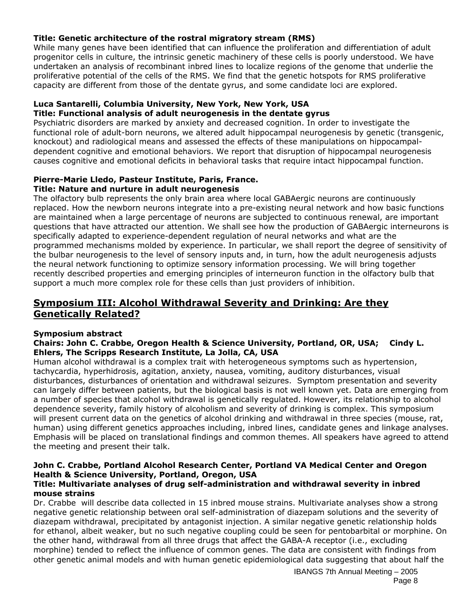#### **Title: Genetic architecture of the rostral migratory stream (RMS)**

While many genes have been identified that can influence the proliferation and differentiation of adult progenitor cells in culture, the intrinsic genetic machinery of these cells is poorly understood. We have undertaken an analysis of recombinant inbred lines to localize regions of the genome that underlie the proliferative potential of the cells of the RMS. We find that the genetic hotspots for RMS proliferative capacity are different from those of the dentate gyrus, and some candidate loci are explored.

#### **Luca Santarelli, Columbia University, New York, New York, USA Title: Functional analysis of adult neurogenesis in the dentate gyrus**

Psychiatric disorders are marked by anxiety and decreased cognition. In order to investigate the functional role of adult-born neurons, we altered adult hippocampal neurogenesis by genetic (transgenic, knockout) and radiological means and assessed the effects of these manipulations on hippocampaldependent cognitive and emotional behaviors. We report that disruption of hippocampal neurogenesis causes cognitive and emotional deficits in behavioral tasks that require intact hippocampal function.

#### **Pierre-Marie Lledo, Pasteur Institute, Paris, France. Title: Nature and nurture in adult neurogenesis**

The olfactory bulb represents the only brain area where local GABAergic neurons are continuously replaced. How the newborn neurons integrate into a pre-existing neural network and how basic functions are maintained when a large percentage of neurons are subjected to continuous renewal, are important questions that have attracted our attention. We shall see how the production of GABAergic interneurons is specifically adapted to experience-dependent regulation of neural networks and what are the programmed mechanisms molded by experience. In particular, we shall report the degree of sensitivity of the bulbar neurogenesis to the level of sensory inputs and, in turn, how the adult neurogenesis adjusts the neural network functioning to optimize sensory information processing. We will bring together recently described properties and emerging principles of interneuron function in the olfactory bulb that support a much more complex role for these cells than just providers of inhibition.

## **Symposium III: Alcohol Withdrawal Severity and Drinking: Are they Genetically Related?**

#### **Symposium abstract**

#### **Chairs: John C. Crabbe, Oregon Health & Science University, Portland, OR, USA; Cindy L. Ehlers, The Scripps Research Institute, La Jolla, CA, USA**

Human alcohol withdrawal is a complex trait with heterogeneous symptoms such as hypertension, tachycardia, hyperhidrosis, agitation, anxiety, nausea, vomiting, auditory disturbances, visual disturbances, disturbances of orientation and withdrawal seizures. Symptom presentation and severity can largely differ between patients, but the biological basis is not well known yet. Data are emerging from a number of species that alcohol withdrawal is genetically regulated. However, its relationship to alcohol dependence severity, family history of alcoholism and severity of drinking is complex. This symposium will present current data on the genetics of alcohol drinking and withdrawal in three species (mouse, rat, human) using different genetics approaches including, inbred lines, candidate genes and linkage analyses. Emphasis will be placed on translational findings and common themes. All speakers have agreed to attend the meeting and present their talk.

## **John C. Crabbe, Portland Alcohol Research Center, Portland VA Medical Center and Oregon Health & Science University, Portland, Oregon, USA**

#### **Title: Multivariate analyses of drug self-administration and withdrawal severity in inbred mouse strains**

Dr. Crabbe will describe data collected in 15 inbred mouse strains. Multivariate analyses show a strong negative genetic relationship between oral self-administration of diazepam solutions and the severity of diazepam withdrawal, precipitated by antagonist injection. A similar negative genetic relationship holds for ethanol, albeit weaker, but no such negative coupling could be seen for pentobarbital or morphine. On the other hand, withdrawal from all three drugs that affect the GABA-A receptor (i.e., excluding morphine) tended to reflect the influence of common genes. The data are consistent with findings from other genetic animal models and with human genetic epidemiological data suggesting that about half the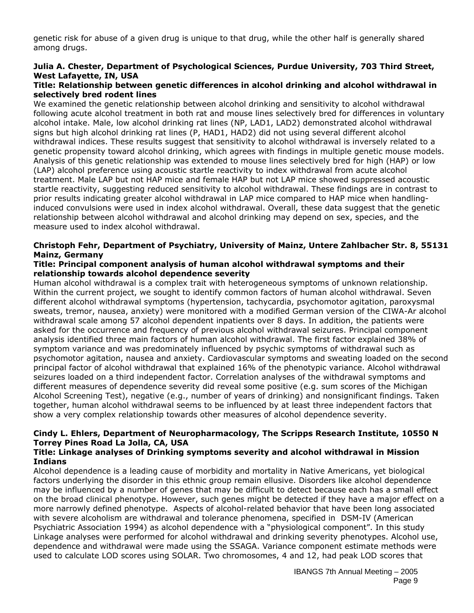genetic risk for abuse of a given drug is unique to that drug, while the other half is generally shared among drugs.

#### **Julia A. Chester, Department of Psychological Sciences, Purdue University, 703 Third Street, West Lafayette, IN, USA**

#### **Title: Relationship between genetic differences in alcohol drinking and alcohol withdrawal in selectively bred rodent lines**

We examined the genetic relationship between alcohol drinking and sensitivity to alcohol withdrawal following acute alcohol treatment in both rat and mouse lines selectively bred for differences in voluntary alcohol intake. Male, low alcohol drinking rat lines (NP, LAD1, LAD2) demonstrated alcohol withdrawal signs but high alcohol drinking rat lines (P, HAD1, HAD2) did not using several different alcohol withdrawal indices. These results suggest that sensitivity to alcohol withdrawal is inversely related to a genetic propensity toward alcohol drinking, which agrees with findings in multiple genetic mouse models. Analysis of this genetic relationship was extended to mouse lines selectively bred for high (HAP) or low (LAP) alcohol preference using acoustic startle reactivity to index withdrawal from acute alcohol treatment. Male LAP but not HAP mice and female HAP but not LAP mice showed suppressed acoustic startle reactivity, suggesting reduced sensitivity to alcohol withdrawal. These findings are in contrast to prior results indicating greater alcohol withdrawal in LAP mice compared to HAP mice when handlinginduced convulsions were used in index alcohol withdrawal. Overall, these data suggest that the genetic relationship between alcohol withdrawal and alcohol drinking may depend on sex, species, and the measure used to index alcohol withdrawal.

#### **Christoph Fehr, Department of Psychiatry, University of Mainz, Untere Zahlbacher Str. 8, 55131 Mainz, Germany**

#### **Title: Principal component analysis of human alcohol withdrawal symptoms and their relationship towards alcohol dependence severity**

Human alcohol withdrawal is a complex trait with heterogeneous symptoms of unknown relationship. Within the current project, we sought to identify common factors of human alcohol withdrawal. Seven different alcohol withdrawal symptoms (hypertension, tachycardia, psychomotor agitation, paroxysmal sweats, tremor, nausea, anxiety) were monitored with a modified German version of the CIWA-Ar alcohol withdrawal scale among 57 alcohol dependent inpatients over 8 days. In addition, the patients were asked for the occurrence and frequency of previous alcohol withdrawal seizures. Principal component analysis identified three main factors of human alcohol withdrawal. The first factor explained 38% of symptom variance and was predominately influenced by psychic symptoms of withdrawal such as psychomotor agitation, nausea and anxiety. Cardiovascular symptoms and sweating loaded on the second principal factor of alcohol withdrawal that explained 16% of the phenotypic variance. Alcohol withdrawal seizures loaded on a third independent factor. Correlation analyses of the withdrawal symptoms and different measures of dependence severity did reveal some positive (e.g. sum scores of the Michigan Alcohol Screening Test), negative (e.g., number of years of drinking) and nonsignificant findings. Taken together, human alcohol withdrawal seems to be influenced by at least three independent factors that show a very complex relationship towards other measures of alcohol dependence severity.

## **Cindy L. Ehlers, Department of Neuropharmacology, The Scripps Research Institute, 10550 N Torrey Pines Road La Jolla, CA, USA**

#### **Title: Linkage analyses of Drinking symptoms severity and alcohol withdrawal in Mission Indians**

Alcohol dependence is a leading cause of morbidity and mortality in Native Americans, yet biological factors underlying the disorder in this ethnic group remain ellusive. Disorders like alcohol dependence may be influenced by a number of genes that may be difficult to detect because each has a small effect on the broad clinical phenotype. However, such genes might be detected if they have a major effect on a more narrowly defined phenotype. Aspects of alcohol-related behavior that have been long associated with severe alcoholism are withdrawal and tolerance phenomena, specified in DSM-IV (American Psychiatric Association 1994) as alcohol dependence with a "physiological component". In this study Linkage analyses were performed for alcohol withdrawal and drinking severity phenotypes. Alcohol use, dependence and withdrawal were made using the SSAGA. Variance component estimate methods were used to calculate LOD scores using SOLAR. Two chromosomes, 4 and 12, had peak LOD scores that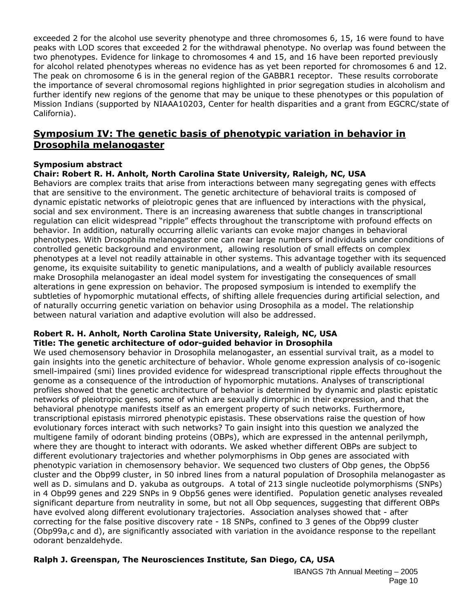exceeded 2 for the alcohol use severity phenotype and three chromosomes 6, 15, 16 were found to have peaks with LOD scores that exceeded 2 for the withdrawal phenotype. No overlap was found between the two phenotypes. Evidence for linkage to chromosomes 4 and 15, and 16 have been reported previously for alcohol related phenotypes whereas no evidence has as yet been reported for chromosomes 6 and 12. The peak on chromosome 6 is in the general region of the GABBR1 receptor. These results corroborate the importance of several chromosomal regions highlighted in prior segregation studies in alcoholism and further identify new regions of the genome that may be unique to these phenotypes or this population of Mission Indians (supported by NIAAA10203, Center for health disparities and a grant from EGCRC/state of California).

## **Symposium IV: The genetic basis of phenotypic variation in behavior in**  *Drosophila melanogaster*

#### **Symposium abstract**

**Chair: Robert R. H. Anholt, North Carolina State University, Raleigh, NC, USA** 

Behaviors are complex traits that arise from interactions between many segregating genes with effects that are sensitive to the environment. The genetic architecture of behavioral traits is composed of dynamic epistatic networks of pleiotropic genes that are influenced by interactions with the physical, social and sex environment. There is an increasing awareness that subtle changes in transcriptional regulation can elicit widespread "ripple" effects throughout the transcriptome with profound effects on behavior. In addition, naturally occurring allelic variants can evoke major changes in behavioral phenotypes. With Drosophila melanogaster one can rear large numbers of individuals under conditions of controlled genetic background and environment, allowing resolution of small effects on complex phenotypes at a level not readily attainable in other systems. This advantage together with its sequenced genome, its exquisite suitability to genetic manipulations, and a wealth of publicly available resources make Drosophila melanogaster an ideal model system for investigating the consequences of small alterations in gene expression on behavior. The proposed symposium is intended to exemplify the subtleties of hypomorphic mutational effects, of shifting allele frequencies during artificial selection, and of naturally occurring genetic variation on behavior using Drosophila as a model. The relationship between natural variation and adaptive evolution will also be addressed.

#### **Robert R. H. Anholt, North Carolina State University, Raleigh, NC, USA Title: The genetic architecture of odor-guided behavior in Drosophila**

We used chemosensory behavior in Drosophila melanogaster, an essential survival trait, as a model to gain insights into the genetic architecture of behavior. Whole genome expression analysis of co-isogenic smell-impaired (smi) lines provided evidence for widespread transcriptional ripple effects throughout the genome as a consequence of the introduction of hypomorphic mutations. Analyses of transcriptional profiles showed that the genetic architecture of behavior is determined by dynamic and plastic epistatic networks of pleiotropic genes, some of which are sexually dimorphic in their expression, and that the behavioral phenotype manifests itself as an emergent property of such networks. Furthermore, transcriptional epistasis mirrored phenotypic epistasis. These observations raise the question of how evolutionary forces interact with such networks? To gain insight into this question we analyzed the multigene family of odorant binding proteins (OBPs), which are expressed in the antennal perilymph, where they are thought to interact with odorants. We asked whether different OBPs are subject to different evolutionary trajectories and whether polymorphisms in Obp genes are associated with phenotypic variation in chemosensory behavior. We sequenced two clusters of Obp genes, the Obp56 cluster and the Obp99 cluster, in 50 inbred lines from a natural population of Drosophila melanogaster as well as D. simulans and D. yakuba as outgroups. A total of 213 single nucleotide polymorphisms (SNPs) in 4 Obp99 genes and 229 SNPs in 9 Obp56 genes were identified. Population genetic analyses revealed significant departure from neutrality in some, but not all Obp sequences, suggesting that different OBPs have evolved along different evolutionary trajectories. Association analyses showed that - after correcting for the false positive discovery rate - 18 SNPs, confined to 3 genes of the Obp99 cluster (Obp99a,c and d), are significantly associated with variation in the avoidance response to the repellant odorant benzaldehyde.

#### **Ralph J. Greenspan, The Neurosciences Institute, San Diego, CA, USA**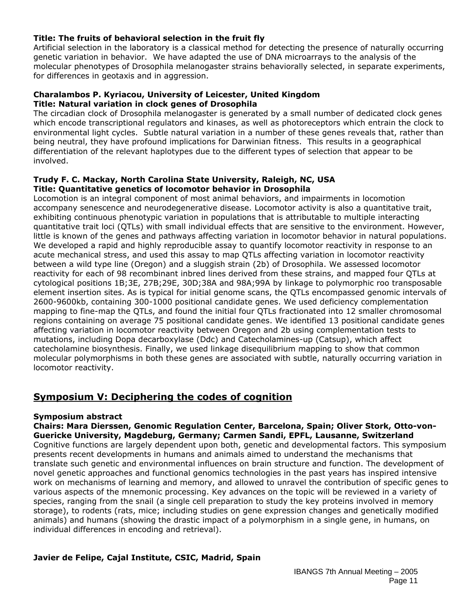#### **Title: The fruits of behavioral selection in the fruit fly**

Artificial selection in the laboratory is a classical method for detecting the presence of naturally occurring genetic variation in behavior. We have adapted the use of DNA microarrays to the analysis of the molecular phenotypes of Drosophila melanogaster strains behaviorally selected, in separate experiments, for differences in geotaxis and in aggression.

#### **Charalambos P. Kyriacou, University of Leicester, United Kingdom Title: Natural variation in clock genes of Drosophila**

The circadian clock of Drosophila melanogaster is generated by a small number of dedicated clock genes which encode transcriptional regulators and kinases, as well as photoreceptors which entrain the clock to environmental light cycles. Subtle natural variation in a number of these genes reveals that, rather than being neutral, they have profound implications for Darwinian fitness. This results in a geographical differentiation of the relevant haplotypes due to the different types of selection that appear to be involved.

#### **Trudy F. C. Mackay, North Carolina State University, Raleigh, NC, USA Title: Quantitative genetics of locomotor behavior in Drosophila**

Locomotion is an integral component of most animal behaviors, and impairments in locomotion accompany senescence and neurodegenerative disease. Locomotor activity is also a quantitative trait, exhibiting continuous phenotypic variation in populations that is attributable to multiple interacting quantitative trait loci (QTLs) with small individual effects that are sensitive to the environment. However, little is known of the genes and pathways affecting variation in locomotor behavior in natural populations. We developed a rapid and highly reproducible assay to quantify locomotor reactivity in response to an acute mechanical stress, and used this assay to map QTLs affecting variation in locomotor reactivity between a wild type line (Oregon) and a sluggish strain (2b) of Drosophila. We assessed locomotor reactivity for each of 98 recombinant inbred lines derived from these strains, and mapped four QTLs at cytological positions 1B;3E, 27B;29E, 30D;38A and 98A;99A by linkage to polymorphic roo transposable element insertion sites. As is typical for initial genome scans, the QTLs encompassed genomic intervals of 2600-9600kb, containing 300-1000 positional candidate genes. We used deficiency complementation mapping to fine-map the QTLs, and found the initial four QTLs fractionated into 12 smaller chromosomal regions containing on average 75 positional candidate genes. We identified 13 positional candidate genes affecting variation in locomotor reactivity between Oregon and 2b using complementation tests to mutations, including Dopa decarboxylase (Ddc) and Catecholamines-up (Catsup), which affect catecholamine biosynthesis. Finally, we used linkage disequilibrium mapping to show that common molecular polymorphisms in both these genes are associated with subtle, naturally occurring variation in locomotor reactivity.

## **Symposium V: Deciphering the codes of cognition**

#### **Symposium abstract**

**Chairs: Mara Dierssen, Genomic Regulation Center, Barcelona, Spain; Oliver Stork, Otto-von-Guericke University, Magdeburg, Germany; Carmen Sandi, EPFL, Lausanne, Switzerland**  Cognitive functions are largely dependent upon both, genetic and developmental factors. This symposium presents recent developments in humans and animals aimed to understand the mechanisms that translate such genetic and environmental influences on brain structure and function. The development of novel genetic approaches and functional genomics technologies in the past years has inspired intensive work on mechanisms of learning and memory, and allowed to unravel the contribution of specific genes to various aspects of the mnemonic processing. Key advances on the topic will be reviewed in a variety of species, ranging from the snail (a single cell preparation to study the key proteins involved in memory storage), to rodents (rats, mice; including studies on gene expression changes and genetically modified animals) and humans (showing the drastic impact of a polymorphism in a single gene, in humans, on individual differences in encoding and retrieval).

#### **Javier de Felipe, Cajal Institute, CSIC, Madrid, Spain**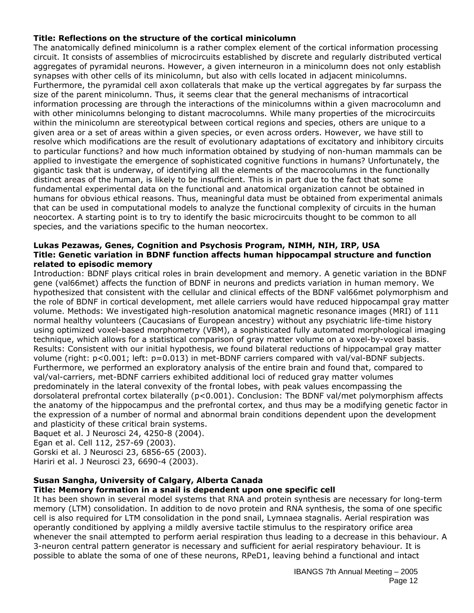#### **Title: Reflections on the structure of the cortical minicolumn**

The anatomically defined minicolumn is a rather complex element of the cortical information processing circuit. It consists of assemblies of microcircuits established by discrete and regularly distributed vertical aggregates of pyramidal neurons. However, a given interneuron in a minicolumn does not only establish synapses with other cells of its minicolumn, but also with cells located in adjacent minicolumns. Furthermore, the pyramidal cell axon collaterals that make up the vertical aggregates by far surpass the size of the parent minicolumn. Thus, it seems clear that the general mechanisms of intracortical information processing are through the interactions of the minicolumns within a given macrocolumn and with other minicolumns belonging to distant macrocolumns. While many properties of the microcircuits within the minicolumn are stereotypical between cortical regions and species, others are unique to a given area or a set of areas within a given species, or even across orders. However, we have still to resolve which modifications are the result of evolutionary adaptations of excitatory and inhibitory circuits to particular functions? and how much information obtained by studying of non-human mammals can be applied to investigate the emergence of sophisticated cognitive functions in humans? Unfortunately, the gigantic task that is underway, of identifying all the elements of the macrocolumns in the functionally distinct areas of the human, is likely to be insufficient. This is in part due to the fact that some fundamental experimental data on the functional and anatomical organization cannot be obtained in humans for obvious ethical reasons. Thus, meaningful data must be obtained from experimental animals that can be used in computational models to analyze the functional complexity of circuits in the human neocortex. A starting point is to try to identify the basic microcircuits thought to be common to all species, and the variations specific to the human neocortex.

#### **Lukas Pezawas, Genes, Cognition and Psychosis Program, NIMH, NIH, IRP, USA Title: Genetic variation in BDNF function affects human hippocampal structure and function related to episodic memory**

Introduction: BDNF plays critical roles in brain development and memory. A genetic variation in the BDNF gene (val66met) affects the function of BDNF in neurons and predicts variation in human memory. We hypothesized that consistent with the cellular and clinical effects of the BDNF val66met polymorphism and the role of BDNF in cortical development, met allele carriers would have reduced hippocampal gray matter volume. Methods: We investigated high-resolution anatomical magnetic resonance images (MRI) of 111 normal healthy volunteers (Caucasians of European ancestry) without any psychiatric life-time history using optimized voxel-based morphometry (VBM), a sophisticated fully automated morphological imaging technique, which allows for a statistical comparison of gray matter volume on a voxel-by-voxel basis. Results: Consistent with our initial hypothesis, we found bilateral reductions of hippocampal gray matter volume (right: p<0.001; left: p=0.013) in met-BDNF carriers compared with val/val-BDNF subjects. Furthermore, we performed an exploratory analysis of the entire brain and found that, compared to val/val-carriers, met-BDNF carriers exhibited additional loci of reduced gray matter volumes predominately in the lateral convexity of the frontal lobes, with peak values encompassing the dorsolateral prefrontal cortex bilaterally (p<0.001). Conclusion: The BDNF val/met polymorphism affects the anatomy of the hippocampus and the prefrontal cortex, and thus may be a modifying genetic factor in the expression of a number of normal and abnormal brain conditions dependent upon the development and plasticity of these critical brain systems.

Baquet et al. J Neurosci 24, 4250-8 (2004).

```
Egan et al. Cell 112, 257-69 (2003).
```
Gorski et al. J Neurosci 23, 6856-65 (2003).

Hariri et al. J Neurosci 23, 6690-4 (2003).

## **Susan Sangha, University of Calgary, Alberta Canada**

#### **Title: Memory formation in a snail is dependent upon one specific cell**

It has been shown in several model systems that RNA and protein synthesis are necessary for long-term memory (LTM) consolidation. In addition to de novo protein and RNA synthesis, the soma of one specific cell is also required for LTM consolidation in the pond snail, Lymnaea stagnalis. Aerial respiration was operantly conditioned by applying a mildly aversive tactile stimulus to the respiratory orifice area whenever the snail attempted to perform aerial respiration thus leading to a decrease in this behaviour. A 3-neuron central pattern generator is necessary and sufficient for aerial respiratory behaviour. It is possible to ablate the soma of one of these neurons, RPeD1, leaving behind a functional and intact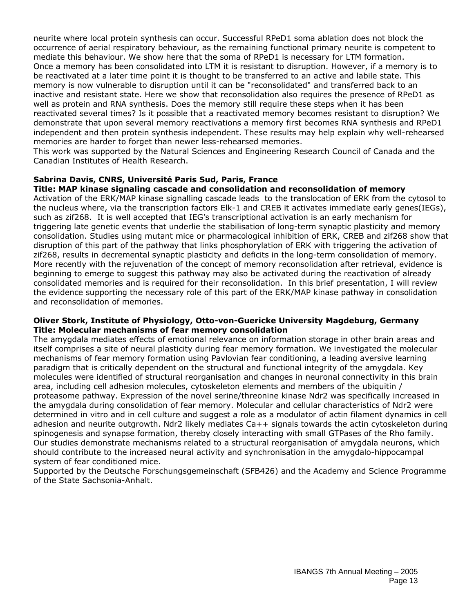neurite where local protein synthesis can occur. Successful RPeD1 soma ablation does not block the occurrence of aerial respiratory behaviour, as the remaining functional primary neurite is competent to mediate this behaviour. We show here that the soma of RPeD1 is necessary for LTM formation. Once a memory has been consolidated into LTM it is resistant to disruption. However, if a memory is to be reactivated at a later time point it is thought to be transferred to an active and labile state. This memory is now vulnerable to disruption until it can be "reconsolidated" and transferred back to an inactive and resistant state. Here we show that reconsolidation also requires the presence of RPeD1 as well as protein and RNA synthesis. Does the memory still require these steps when it has been reactivated several times? Is it possible that a reactivated memory becomes resistant to disruption? We demonstrate that upon several memory reactivations a memory first becomes RNA synthesis and RPeD1 independent and then protein synthesis independent. These results may help explain why well-rehearsed memories are harder to forget than newer less-rehearsed memories.

This work was supported by the Natural Sciences and Engineering Research Council of Canada and the Canadian Institutes of Health Research.

#### **Sabrina Davis, CNRS, Université Paris Sud, Paris, France**

#### **Title: MAP kinase signaling cascade and consolidation and reconsolidation of memory**

Activation of the ERK/MAP kinase signalling cascade leads to the translocation of ERK from the cytosol to the nucleus where, via the transcription factors Elk-1 and CREB it activates immediate early genes(IEGs), such as zif268. It is well accepted that IEG's transcriptional activation is an early mechanism for triggering late genetic events that underlie the stabilisation of long-term synaptic plasticity and memory consolidation. Studies using mutant mice or pharmacological inhibition of ERK, CREB and zif268 show that disruption of this part of the pathway that links phosphorylation of ERK with triggering the activation of zif268, results in decremental synaptic plasticity and deficits in the long-term consolidation of memory. More recently with the rejuvenation of the concept of memory reconsolidation after retrieval, evidence is beginning to emerge to suggest this pathway may also be activated during the reactivation of already consolidated memories and is required for their reconsolidation. In this brief presentation, I will review the evidence supporting the necessary role of this part of the ERK/MAP kinase pathway in consolidation and reconsolidation of memories.

#### **Oliver Stork, Institute of Physiology, Otto-von-Guericke University Magdeburg, Germany Title: Molecular mechanisms of fear memory consolidation**

The amygdala mediates effects of emotional relevance on information storage in other brain areas and itself comprises a site of neural plasticity during fear memory formation. We investigated the molecular mechanisms of fear memory formation using Pavlovian fear conditioning, a leading aversive learning paradigm that is critically dependent on the structural and functional integrity of the amygdala. Key molecules were identified of structural reorganisation and changes in neuronal connectivity in this brain area, including cell adhesion molecules, cytoskeleton elements and members of the ubiquitin / proteasome pathway. Expression of the novel serine/threonine kinase Ndr2 was specifically increased in the amygdala during consolidation of fear memory. Molecular and cellular characteristics of Ndr2 were determined in vitro and in cell culture and suggest a role as a modulator of actin filament dynamics in cell adhesion and neurite outgrowth. Ndr2 likely mediates Ca++ signals towards the actin cytoskeleton during spinogenesis and synapse formation, thereby closely interacting with small GTPases of the Rho family. Our studies demonstrate mechanisms related to a structural reorganisation of amygdala neurons, which should contribute to the increased neural activity and synchronisation in the amygdalo-hippocampal system of fear conditioned mice.

Supported by the Deutsche Forschungsgemeinschaft (SFB426) and the Academy and Science Programme of the State Sachsonia-Anhalt.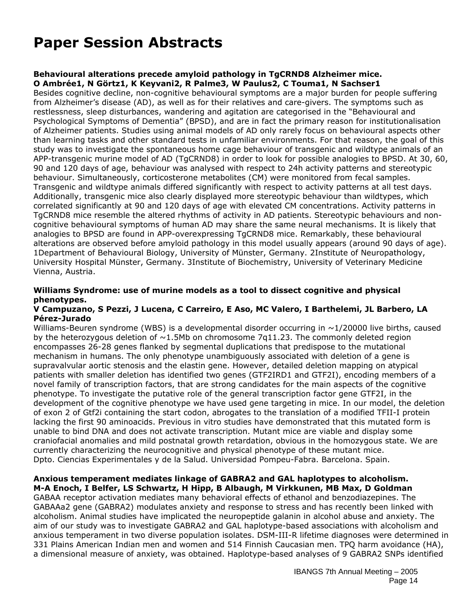# **Paper Session Abstracts**

#### **Behavioural alterations precede amyloid pathology in TgCRND8 Alzheimer mice. O Ambrée1, N Görtz1, K Keyvani2, R Palme3, W Paulus2, C Touma1, N Sachser1**

Besides cognitive decline, non-cognitive behavioural symptoms are a major burden for people suffering from Alzheimer's disease (AD), as well as for their relatives and care-givers. The symptoms such as restlessness, sleep disturbances, wandering and agitation are categorised in the "Behavioural and Psychological Symptoms of Dementia" (BPSD), and are in fact the primary reason for institutionalisation of Alzheimer patients. Studies using animal models of AD only rarely focus on behavioural aspects other than learning tasks and other standard tests in unfamiliar environments. For that reason, the goal of this study was to investigate the spontaneous home cage behaviour of transgenic and wildtype animals of an APP-transgenic murine model of AD (TgCRND8) in order to look for possible analogies to BPSD. At 30, 60, 90 and 120 days of age, behaviour was analysed with respect to 24h activity patterns and stereotypic behaviour. Simultaneously, corticosterone metabolites (CM) were monitored from fecal samples. Transgenic and wildtype animals differed significantly with respect to activity patterns at all test days. Additionally, transgenic mice also clearly displayed more stereotypic behaviour than wildtypes, which correlated significantly at 90 and 120 days of age with elevated CM concentrations. Activity patterns in TgCRND8 mice resemble the altered rhythms of activity in AD patients. Stereotypic behaviours and noncognitive behavioural symptoms of human AD may share the same neural mechanisms. It is likely that analogies to BPSD are found in APP-overexpressing TgCRND8 mice. Remarkably, these behavioural alterations are observed before amyloid pathology in this model usually appears (around 90 days of age). 1Department of Behavioural Biology, University of Münster, Germany. 2Institute of Neuropathology, University Hospital Münster, Germany. 3Institute of Biochemistry, University of Veterinary Medicine Vienna, Austria.

#### **Williams Syndrome: use of murine models as a tool to dissect cognitive and physical phenotypes.**

#### **V Campuzano, S Pezzi, J Lucena, C Carreiro, E Aso, MC Valero, I Barthelemi, JL Barbero, LA Pérez-Jurado**

Williams-Beuren syndrome (WBS) is a developmental disorder occurring in  $\sim$ 1/20000 live births, caused by the heterozygous deletion of  $\sim$ 1.5Mb on chromosome 7g11.23. The commonly deleted region encompasses 26-28 genes flanked by segmental duplications that predispose to the mutational mechanism in humans. The only phenotype unambiguously associated with deletion of a gene is supravalvular aortic stenosis and the elastin gene. However, detailed deletion mapping on atypical patients with smaller deletion has identified two genes (GTF2IRD1 and GTF2I), encoding members of a novel family of transcription factors, that are strong candidates for the main aspects of the cognitive phenotype. To investigate the putative role of the general transcription factor gene GTF2I, in the development of the cognitive phenotype we have used gene targeting in mice. In our model, the deletion of exon 2 of Gtf2i containing the start codon, abrogates to the translation of a modified TFII-I protein lacking the first 90 aminoacids. Previous in vitro studies have demonstrated that this mutated form is unable to bind DNA and does not activate transcription. Mutant mice are viable and display some craniofacial anomalies and mild postnatal growth retardation, obvious in the homozygous state. We are currently characterizing the neurocognitive and physical phenotype of these mutant mice. Dpto. Ciencias Experimentales y de la Salud. Universidad Pompeu-Fabra. Barcelona. Spain.

#### **Anxious temperament mediates linkage of GABRA2 and GAL haplotypes to alcoholism. M-A Enoch, I Belfer, LS Schwartz, H Hipp, B Albaugh, M Virkkunen, MB Max, D Goldman**

GABAA receptor activation mediates many behavioral effects of ethanol and benzodiazepines. The GABAAa2 gene (GABRA2) modulates anxiety and response to stress and has recently been linked with alcoholism. Animal studies have implicated the neuropeptide galanin in alcohol abuse and anxiety. The aim of our study was to investigate GABRA2 and GAL haplotype-based associations with alcoholism and anxious temperament in two diverse population isolates. DSM-III-R lifetime diagnoses were determined in 331 Plains American Indian men and women and 514 Finnish Caucasian men. TPQ harm avoidance (HA), a dimensional measure of anxiety, was obtained. Haplotype-based analyses of 9 GABRA2 SNPs identified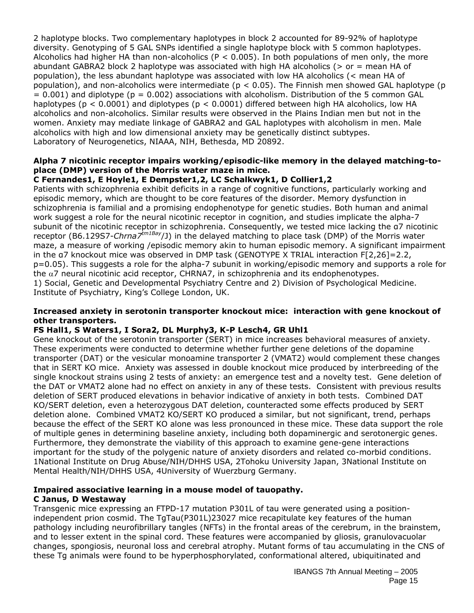2 haplotype blocks. Two complementary haplotypes in block 2 accounted for 89-92% of haplotype diversity. Genotyping of 5 GAL SNPs identified a single haplotype block with 5 common haplotypes. Alcoholics had higher HA than non-alcoholics ( $P < 0.005$ ). In both populations of men only, the more abundant GABRA2 block 2 haplotype was associated with high HA alcoholics ( $>$  or = mean HA of population), the less abundant haplotype was associated with low HA alcoholics (< mean HA of population), and non-alcoholics were intermediate ( $p < 0.05$ ). The Finnish men showed GAL haplotype (p  $= 0.001$ ) and diplotype (p  $= 0.002$ ) associations with alcoholism. Distribution of the 5 common GAL haplotypes (p < 0.0001) and diplotypes (p < 0.0001) differed between high HA alcoholics, low HA alcoholics and non-alcoholics. Similar results were observed in the Plains Indian men but not in the women. Anxiety may mediate linkage of GABRA2 and GAL haplotypes with alcoholism in men. Male alcoholics with high and low dimensional anxiety may be genetically distinct subtypes. Laboratory of Neurogenetics, NIAAA, NIH, Bethesda, MD 20892.

#### **Alpha 7 nicotinic receptor impairs working/episodic-like memory in the delayed matching-toplace (DMP) version of the Morris water maze in mice.**

## **C Fernandes1, E Hoyle1, E Dempster1,2, LC Schalkwyk1, D Collier1,2**

Patients with schizophrenia exhibit deficits in a range of cognitive functions, particularly working and episodic memory, which are thought to be core features of the disorder. Memory dysfunction in schizophrenia is familial and a promising endophenotype for genetic studies. Both human and animal work suggest a role for the neural nicotinic receptor in cognition, and studies implicate the alpha-7 subunit of the nicotinic receptor in schizophrenia. Consequently, we tested mice lacking the α7 nicotinic receptor (B6.129S7-*Chrna7tm1Bay*/J) in the delayed matching to place task (DMP) of the Morris water maze, a measure of working /episodic memory akin to human episodic memory. A significant impairment in the α7 knockout mice was observed in DMP task (GENOTYPE X TRIAL interaction F[2,26]=2.2, p=0.05). This suggests a role for the alpha-7 subunit in working/episodic memory and supports a role for the  $\alpha$ 7 neural nicotinic acid receptor, CHRNA7, in schizophrenia and its endophenotypes. 1) Social, Genetic and Developmental Psychiatry Centre and 2) Division of Psychological Medicine. Institute of Psychiatry, King's College London, UK.

#### **Increased anxiety in serotonin transporter knockout mice: interaction with gene knockout of other transporters.**

## **FS Hall1, S Waters1, I Sora2, DL Murphy3, K-P Lesch4, GR Uhl1**

Gene knockout of the serotonin transporter (SERT) in mice increases behavioral measures of anxiety. These experiments were conducted to determine whether further gene deletions of the dopamine transporter (DAT) or the vesicular monoamine transporter 2 (VMAT2) would complement these changes that in SERT KO mice. Anxiety was assessed in double knockout mice produced by interbreeding of the single knockout strains using 2 tests of anxiety: an emergence test and a novelty test. Gene deletion of the DAT or VMAT2 alone had no effect on anxiety in any of these tests. Consistent with previous results deletion of SERT produced elevations in behavior indicative of anxiety in both tests. Combined DAT KO/SERT deletion, even a heterozygous DAT deletion, counteracted some effects produced by SERT deletion alone. Combined VMAT2 KO/SERT KO produced a similar, but not significant, trend, perhaps because the effect of the SERT KO alone was less pronounced in these mice. These data support the role of multiple genes in determining baseline anxiety, including both dopaminergic and serotonergic genes. Furthermore, they demonstrate the viability of this approach to examine gene-gene interactions important for the study of the polygenic nature of anxiety disorders and related co-morbid conditions. 1National Institute on Drug Abuse/NIH/DHHS USA, 2Tohoku University Japan, 3National Institute on Mental Health/NIH/DHHS USA, 4University of Wuerzburg Germany.

#### **Impaired associative learning in a mouse model of tauopathy. C Janus, D Westaway**

Transgenic mice expressing an FTPD-17 mutation P301L of tau were generated using a positionindependent prion cosmid. The TgTau(P301L)23027 mice recapitulate key features of the human pathology including neurofibrillary tangles (NFTs) in the frontal areas of the cerebrum, in the brainstem, and to lesser extent in the spinal cord. These features were accompanied by gliosis, granulovacuolar changes, spongiosis, neuronal loss and cerebral atrophy. Mutant forms of tau accumulating in the CNS of these Tg animals were found to be hyperphosphorylated, conformational altered, ubiquitinated and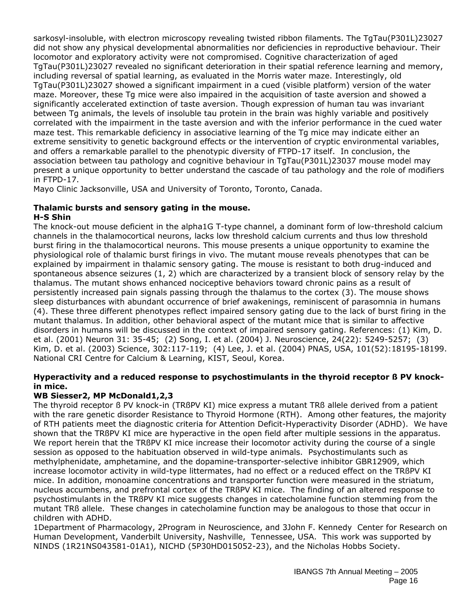sarkosyl-insoluble, with electron microscopy revealing twisted ribbon filaments. The TgTau(P301L)23027 did not show any physical developmental abnormalities nor deficiencies in reproductive behaviour. Their locomotor and exploratory activity were not compromised. Cognitive characterization of aged TgTau(P301L)23027 revealed no significant deterioration in their spatial reference learning and memory, including reversal of spatial learning, as evaluated in the Morris water maze. Interestingly, old TgTau(P301L)23027 showed a significant impairment in a cued (visible platform) version of the water maze. Moreover, these Tg mice were also impaired in the acquisition of taste aversion and showed a significantly accelerated extinction of taste aversion. Though expression of human tau was invariant between Tg animals, the levels of insoluble tau protein in the brain was highly variable and positively correlated with the impairment in the taste aversion and with the inferior performance in the cued water maze test. This remarkable deficiency in associative learning of the Tg mice may indicate either an extreme sensitivity to genetic background effects or the intervention of cryptic environmental variables, and offers a remarkable parallel to the phenotypic diversity of FTPD-17 itself. In conclusion, the association between tau pathology and cognitive behaviour in TgTau(P301L)23037 mouse model may present a unique opportunity to better understand the cascade of tau pathology and the role of modifiers in FTPD-17.

Mayo Clinic Jacksonville, USA and University of Toronto, Toronto, Canada.

## **Thalamic bursts and sensory gating in the mouse.**

#### **H-S Shin**

The knock-out mouse deficient in the alpha1G T-type channel, a dominant form of low-threshold calcium channels in the thalamocortical neurons, lacks low threshold calcium currents and thus low threshold burst firing in the thalamocortical neurons. This mouse presents a unique opportunity to examine the physiological role of thalamic burst firings in vivo. The mutant mouse reveals phenotypes that can be explained by impairment in thalamic sensory gating. The mouse is resistant to both drug-induced and spontaneous absence seizures (1, 2) which are characterized by a transient block of sensory relay by the thalamus. The mutant shows enhanced nociceptive behaviors toward chronic pains as a result of persistently increased pain signals passing through the thalamus to the cortex (3). The mouse shows sleep disturbances with abundant occurrence of brief awakenings, reminiscent of parasomnia in humans (4). These three different phenotypes reflect impaired sensory gating due to the lack of burst firing in the mutant thalamus. In addition, other behavioral aspect of the mutant mice that is similar to affective disorders in humans will be discussed in the context of impaired sensory gating. References: (1) Kim, D. et al. (2001) Neuron 31: 35-45; (2) Song, I. et al. (2004) J. Neuroscience, 24(22): 5249-5257; (3) Kim, D. et al. (2003) Science, 302:117-119; (4) Lee, J. et al. (2004) PNAS, USA, 101(52):18195-18199. National CRI Centre for Calcium & Learning, KIST, Seoul, Korea.

## **Hyperactivity and a reduced response to psychostimulants in the thyroid receptor ß PV knockin mice.**

#### **WB Siesser2, MP McDonald1,2,3**

The thyroid receptor ß PV knock-in (TRßPV KI) mice express a mutant TRß allele derived from a patient with the rare genetic disorder Resistance to Thyroid Hormone (RTH). Among other features, the majority of RTH patients meet the diagnostic criteria for Attention Deficit-Hyperactivity Disorder (ADHD). We have shown that the TRßPV KI mice are hyperactive in the open field after multiple sessions in the apparatus. We report herein that the TRßPV KI mice increase their locomotor activity during the course of a single session as opposed to the habituation observed in wild-type animals. Psychostimulants such as methylphenidate, amphetamine, and the dopamine-transporter-selective inhibitor GBR12909, which increase locomotor activity in wild-type littermates, had no effect or a reduced effect on the TRßPV KI mice. In addition, monoamine concentrations and transporter function were measured in the striatum, nucleus accumbens, and prefrontal cortex of the TRßPV KI mice. The finding of an altered response to psychostimulants in the TRßPV KI mice suggests changes in catecholamine function stemming from the mutant TRß allele. These changes in catecholamine function may be analogous to those that occur in children with ADHD.

1Department of Pharmacology, 2Program in Neuroscience, and 3John F. Kennedy Center for Research on Human Development, Vanderbilt University, Nashville, Tennessee, USA. This work was supported by NINDS (1R21NS043581-01A1), NICHD (5P30HD015052-23), and the Nicholas Hobbs Society.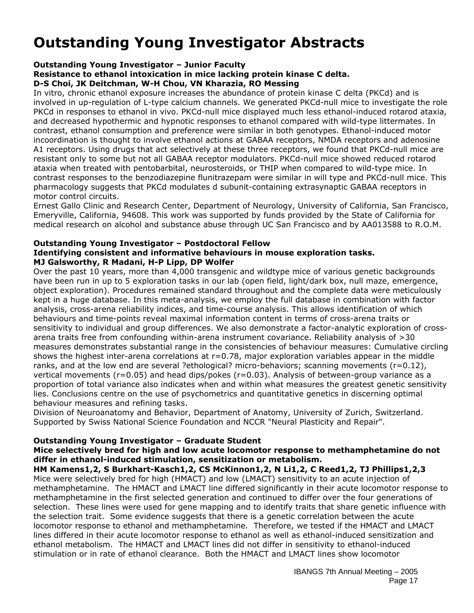# **Outstanding Young Investigator Abstracts**

## **Outstanding Young Investigator – Junior Faculty**

**Resistance to ethanol intoxication in mice lacking protein kinase C delta.** 

#### **D-S Choi, JK Deitchman, W-H Chou, VN Kharazia, RO Messing**

In vitro, chronic ethanol exposure increases the abundance of protein kinase C delta (PKCd) and is involved in up-regulation of L-type calcium channels. We generated PKCd-null mice to investigate the role PKCd in responses to ethanol in vivo. PKCd-null mice displayed much less ethanol-induced rotarod ataxia, and decreased hypothermic and hypnotic responses to ethanol compared with wild-type littermates. In contrast, ethanol consumption and preference were similar in both genotypes. Ethanol-induced motor incoordination is thought to involve ethanol actions at GABAA receptors, NMDA receptors and adenosine A1 receptors. Using drugs that act selectively at these three receptors, we found that PKCd-null mice are resistant only to some but not all GABAA receptor modulators. PKCd-null mice showed reduced rotarod ataxia when treated with pentobarbital, neurosteroids, or THIP when compared to wild-type mice. In contrast responses to the benzodiazepine flunitrazepam were similar in will type and PKCd-null mice. This pharmacology suggests that PKCd modulates d subunit-containing extrasynaptic GABAA receptors in motor control circuits.

Ernest Gallo Clinic and Research Center, Department of Neurology, University of California, San Francisco, Emeryville, California, 94608. This work was supported by funds provided by the State of California for medical research on alcohol and substance abuse through UC San Francisco and by AA013588 to R.O.M.

#### **Outstanding Young Investigator – Postdoctoral Fellow Identifying consistent and informative behaviours in mouse exploration tasks. MJ Galsworthy, R Madani, H-P Lipp, DP Wolfer**

Over the past 10 years, more than 4,000 transgenic and wildtype mice of various genetic backgrounds have been run in up to 5 exploration tasks in our lab (open field, light/dark box, null maze, emergence, object exploration). Procedures remained standard throughout and the complete data were meticulously kept in a huge database. In this meta-analysis, we employ the full database in combination with factor analysis, cross-arena reliability indices, and time-course analysis. This allows identification of which behaviours and time-points reveal maximal information content in terms of cross-arena traits or sensitivity to individual and group differences. We also demonstrate a factor-analytic exploration of crossarena traits free from confounding within-arena instrument covariance. Reliability analysis of >30 measures demonstrates substantial range in the consistencies of behaviour measures: Cumulative circling shows the highest inter-arena correlations at  $r=0.78$ , major exploration variables appear in the middle ranks, and at the low end are several ?ethological? micro-behaviors; scanning movements (r=0.12), vertical movements (r=0.05) and head dips/pokes (r=0.03). Analysis of between-group variance as a proportion of total variance also indicates when and within what measures the greatest genetic sensitivity lies. Conclusions centre on the use of psychometrics and quantitative genetics in discerning optimal behaviour measures and refining tasks.

Division of Neuroanatomy and Behavior, Department of Anatomy, University of Zurich, Switzerland. Supported by Swiss National Science Foundation and NCCR "Neural Plasticity and Repair".

#### **Outstanding Young Investigator – Graduate Student**

#### **Mice selectively bred for high and low acute locomotor response to methamphetamine do not differ in ethanol-induced stimulation, sensitization or metabolism.**

**HM Kamens1,2, S Burkhart-Kasch1,2, CS McKinnon1,2, N Li1,2, C Reed1,2, TJ Phillips1,2,3** Mice were selectively bred for high (HMACT) and low (LMACT) sensitivity to an acute injection of methamphetamine. The HMACT and LMACT line differed significantly in their acute locomotor response to methamphetamine in the first selected generation and continued to differ over the four generations of selection. These lines were used for gene mapping and to identify traits that share genetic influence with the selection trait. Some evidence suggests that there is a genetic correlation between the acute locomotor response to ethanol and methamphetamine. Therefore, we tested if the HMACT and LMACT lines differed in their acute locomotor response to ethanol as well as ethanol-induced sensitization and ethanol metabolism. The HMACT and LMACT lines did not differ in sensitivity to ethanol-induced stimulation or in rate of ethanol clearance. Both the HMACT and LMACT lines show locomotor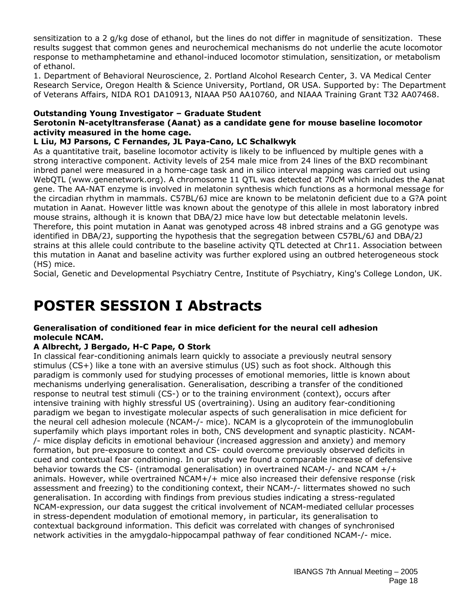sensitization to a 2 g/kg dose of ethanol, but the lines do not differ in magnitude of sensitization. These results suggest that common genes and neurochemical mechanisms do not underlie the acute locomotor response to methamphetamine and ethanol-induced locomotor stimulation, sensitization, or metabolism of ethanol.

1. Department of Behavioral Neuroscience, 2. Portland Alcohol Research Center, 3. VA Medical Center Research Service, Oregon Health & Science University, Portland, OR USA. Supported by: The Department of Veterans Affairs, NIDA RO1 DA10913, NIAAA P50 AA10760, and NIAAA Training Grant T32 AA07468.

#### **Outstanding Young Investigator – Graduate Student**

### **Serotonin N-acetyltransferase (Aanat) as a candidate gene for mouse baseline locomotor activity measured in the home cage.**

## **L Liu, MJ Parsons, C Fernandes, JL Paya-Cano, LC Schalkwyk**

As a quantitative trait, baseline locomotor activity is likely to be influenced by multiple genes with a strong interactive component. Activity levels of 254 male mice from 24 lines of the BXD recombinant inbred panel were measured in a home-cage task and in silico interval mapping was carried out using WebQTL (www.genenetwork.org). A chromosome 11 QTL was detected at 70cM which includes the Aanat gene. The AA-NAT enzyme is involved in melatonin synthesis which functions as a hormonal message for the circadian rhythm in mammals. C57BL/6J mice are known to be melatonin deficient due to a G?A point mutation in Aanat. However little was known about the genotype of this allele in most laboratory inbred mouse strains, although it is known that DBA/2J mice have low but detectable melatonin levels. Therefore, this point mutation in Aanat was genotyped across 48 inbred strains and a GG genotype was identified in DBA/2J, supporting the hypothesis that the segregation between C57BL/6J and DBA/2J strains at this allele could contribute to the baseline activity QTL detected at Chr11. Association between this mutation in Aanat and baseline activity was further explored using an outbred heterogeneous stock (HS) mice.

Social, Genetic and Developmental Psychiatry Centre, Institute of Psychiatry, King's College London, UK.

# **POSTER SESSION I Abstracts**

#### **Generalisation of conditioned fear in mice deficient for the neural cell adhesion molecule NCAM.**

## **A Albrecht, J Bergado, H-C Pape, O Stork**

In classical fear-conditioning animals learn quickly to associate a previously neutral sensory stimulus (CS+) like a tone with an aversive stimulus (US) such as foot shock. Although this paradigm is commonly used for studying processes of emotional memories, little is known about mechanisms underlying generalisation. Generalisation, describing a transfer of the conditioned response to neutral test stimuli (CS-) or to the training environment (context), occurs after intensive training with highly stressful US (overtraining). Using an auditory fear-conditioning paradigm we began to investigate molecular aspects of such generalisation in mice deficient for the neural cell adhesion molecule (NCAM-/- mice). NCAM is a glycoprotein of the immunoglobulin superfamily which plays important roles in both, CNS development and synaptic plasticity. NCAM- /- mice display deficits in emotional behaviour (increased aggression and anxiety) and memory formation, but pre-exposure to context and CS- could overcome previously observed deficits in cued and contextual fear conditioning. In our study we found a comparable increase of defensive behavior towards the CS- (intramodal generalisation) in overtrained NCAM-/- and NCAM  $+/+$ animals. However, while overtrained NCAM+/+ mice also increased their defensive response (risk assessment and freezing) to the conditioning context, their NCAM-/- littermates showed no such generalisation. In according with findings from previous studies indicating a stress-regulated NCAM-expression, our data suggest the critical involvement of NCAM-mediated cellular processes in stress-dependent modulation of emotional memory, in particular, its generalisation to contextual background information. This deficit was correlated with changes of synchronised network activities in the amygdalo-hippocampal pathway of fear conditioned NCAM-/- mice.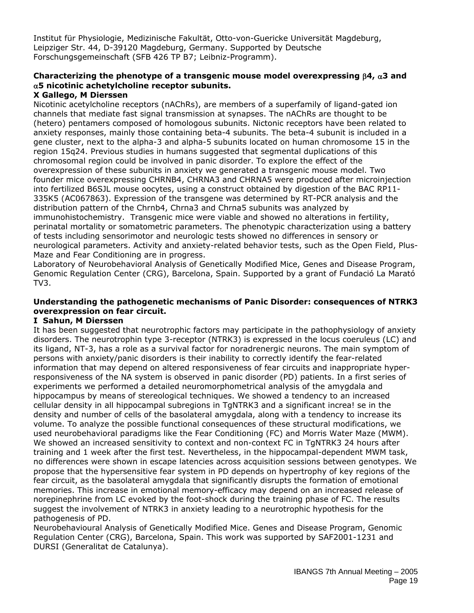Institut für Physiologie, Medizinische Fakultät, Otto-von-Guericke Universität Magdeburg, Leipziger Str. 44, D-39120 Magdeburg, Germany. Supported by Deutsche Forschungsgemeinschaft (SFB 426 TP B7; Leibniz-Programm).

## **Characterizing the phenotype of a transgenic mouse model overexpressing** β**4,** α**3 and**  α**5 nicotinic achetylcholine receptor subunits.**

#### **X Gallego, M Dierssen**

Nicotinic acetylcholine receptors (nAChRs), are members of a superfamily of ligand-gated ion channels that mediate fast signal transmission at synapses. The nAChRs are thought to be (hetero) pentamers composed of homologous subunits. Nictonic receptors have been related to anxiety responses, mainly those containing beta-4 subunits. The beta-4 subunit is included in a gene cluster, next to the alpha-3 and alpha-5 subunits located on human chromosome 15 in the region 15q24. Previous studies in humans suggested that segmental duplications of this chromosomal region could be involved in panic disorder. To explore the effect of the overexpression of these subunits in anxiety we generated a transgenic mouse model. Two founder mice overexpressing CHRNB4, CHRNA3 and CHRNA5 were produced after microinjection into fertilized B6SJL mouse oocytes, using a construct obtained by digestion of the BAC RP11- 335K5 (AC067863). Expression of the transgene was determined by RT-PCR analysis and the distribution pattern of the Chrnb4, Chrna3 and Chrna5 subunits was analyzed by immunohistochemistry. Transgenic mice were viable and showed no alterations in fertility, perinatal mortality or somatometric parameters. The phenotypic characterization using a battery of tests including sensorimotor and neurologic tests showed no differences in sensory or neurological parameters. Activity and anxiety-related behavior tests, such as the Open Field, Plus-Maze and Fear Conditioning are in progress.

Laboratory of Neurobehavioral Analysis of Genetically Modified Mice, Genes and Disease Program, Genomic Regulation Center (CRG), Barcelona, Spain. Supported by a grant of Fundació La Marató TV3.

#### **Understanding the pathogenetic mechanisms of Panic Disorder: consequences of NTRK3 overexpression on fear circuit.**

#### **I Sahun, M Dierssen**

It has been suggested that neurotrophic factors may participate in the pathophysiology of anxiety disorders. The neurotrophin type 3-receptor (NTRK3) is expressed in the locus coeruleus (LC) and its ligand, NT-3, has a role as a survival factor for noradrenergic neurons. The main symptom of persons with anxiety/panic disorders is their inability to correctly identify the fear-related information that may depend on altered responsiveness of fear circuits and inappropriate hyperresponsiveness of the NA system is observed in panic disorder (PD) patients. In a first series of experiments we performed a detailed neuromorphometrical analysis of the amygdala and hippocampus by means of stereological techniques. We showed a tendency to an increased cellular density in all hippocampal subregions in TgNTRK3 and a significant increa! se in the density and number of cells of the basolateral amygdala, along with a tendency to increase its volume. To analyze the possible functional consequences of these structural modifications, we used neurobehavioral paradigms like the Fear Conditioning (FC) and Morris Water Maze (MWM). We showed an increased sensitivity to context and non-context FC in TgNTRK3 24 hours after training and 1 week after the first test. Nevertheless, in the hippocampal-dependent MWM task, no differences were shown in escape latencies across acquisition sessions between genotypes. We propose that the hypersensitive fear system in PD depends on hypertrophy of key regions of the fear circuit, as the basolateral amygdala that significantly disrupts the formation of emotional memories. This increase in emotional memory-efficacy may depend on an increased release of norepinephrine from LC evoked by the foot-shock during the training phase of FC. The results suggest the involvement of NTRK3 in anxiety leading to a neurotrophic hypothesis for the pathogenesis of PD.

Neurobehavioural Analysis of Genetically Modified Mice. Genes and Disease Program, Genomic Regulation Center (CRG), Barcelona, Spain. This work was supported by SAF2001-1231 and DURSI (Generalitat de Catalunya).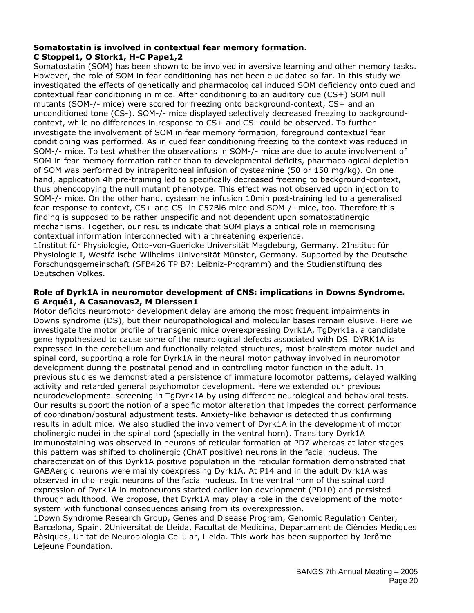#### **Somatostatin is involved in contextual fear memory formation. C Stoppel1, O Stork1, H-C Pape1,2**

Somatostatin (SOM) has been shown to be involved in aversive learning and other memory tasks. However, the role of SOM in fear conditioning has not been elucidated so far. In this study we investigated the effects of genetically and pharmacological induced SOM deficiency onto cued and contextual fear conditioning in mice. After conditioning to an auditory cue (CS+) SOM null mutants (SOM-/- mice) were scored for freezing onto background-context, CS+ and an unconditioned tone (CS-). SOM-/- mice displayed selectively decreased freezing to backgroundcontext, while no differences in response to CS+ and CS- could be observed. To further investigate the involvement of SOM in fear memory formation, foreground contextual fear conditioning was performed. As in cued fear conditioning freezing to the context was reduced in SOM-/- mice. To test whether the observations in SOM-/- mice are due to acute involvement of SOM in fear memory formation rather than to developmental deficits, pharmacological depletion of SOM was performed by intraperitoneal infusion of cysteamine (50 or 150 mg/kg). On one hand, application 4h pre-training led to specifically decreased freezing to background-context, thus phenocopying the null mutant phenotype. This effect was not observed upon injection to SOM-/- mice. On the other hand, cysteamine infusion 10min post-training led to a generalised fear-response to context, CS+ and CS- in C57Bl6 mice and SOM-/- mice, too. Therefore this finding is supposed to be rather unspecific and not dependent upon somatostatinergic mechanisms. Together, our results indicate that SOM plays a critical role in memorising contextual information interconnected with a threatening experience.

1Institut für Physiologie, Otto-von-Guericke Universität Magdeburg, Germany. 2Institut für Physiologie I, Westfälische Wilhelms-Universität Münster, Germany. Supported by the Deutsche Forschungsgemeinschaft (SFB426 TP B7; Leibniz-Programm) and the Studienstiftung des Deutschen Volkes.

#### **Role of Dyrk1A in neuromotor development of CNS: implications in Downs Syndrome. G Arqué1, A Casanovas2, M Dierssen1**

Motor deficits neuromotor development delay are among the most frequent impairments in Downs syndrome (DS), but their neuropathological and molecular bases remain elusive. Here we investigate the motor profile of transgenic mice overexpressing Dyrk1A, TgDyrk1a, a candidate gene hypothesized to cause some of the neurological defects associated with DS. DYRK1A is expressed in the cerebellum and functionally related structures, most brainstem motor nuclei and spinal cord, supporting a role for Dyrk1A in the neural motor pathway involved in neuromotor development during the postnatal period and in controlling motor function in the adult. In previous studies we demonstrated a persistence of immature locomotor patterns, delayed walking activity and retarded general psychomotor development. Here we extended our previous neurodevelopmental screening in TgDyrk1A by using different neurological and behavioral tests. Our results support the notion of a specific motor alteration that impedes the correct performance of coordination/postural adjustment tests. Anxiety-like behavior is detected thus confirming results in adult mice. We also studied the involvement of Dyrk1A in the development of motor cholinergic nuclei in the spinal cord (specially in the ventral horn). Transitory Dyrk1A immunostaining was observed in neurons of reticular formation at PD7 whereas at later stages this pattern was shifted to cholinergic (ChAT positive) neurons in the facial nucleus. The characterization of this Dyrk1A positive population in the reticular formation demonstrated that GABAergic neurons were mainly coexpressing Dyrk1A. At P14 and in the adult Dyrk1A was observed in cholinegic neurons of the facial nucleus. In the ventral horn of the spinal cord expression of Dyrk1A in motoneurons started earlier ion development (PD10) and persisted through adulthood. We propose, that Dyrk1A may play a role in the development of the motor system with functional consequences arising from its overexpression.

1Down Syndrome Research Group, Genes and Disease Program, Genomic Regulation Center, Barcelona, Spain. 2Universitat de Lleida, Facultat de Medicina, Departament de Ciències Mèdiques Bàsiques, Unitat de Neurobiologia Cellular, Lleida. This work has been supported by Jerôme Lejeune Foundation.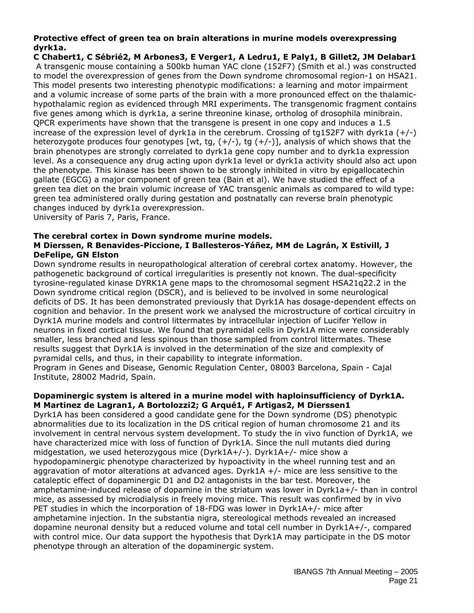#### **Protective effect of green tea on brain alterations in murine models overexpressing dyrk1a.**

**C Chabert1, C Sébrié2, M Arbones3, E Verger1, A Ledru1, E Paly1, B Gillet2, JM Delabar1** A transgenic mouse containing a 500kb human YAC clone (152F7) (Smith et al.) was constructed to model the overexpression of genes from the Down syndrome chromosomal region-1 on HSA21. This model presents two interesting phenotypic modifications: a learning and motor impairment and a volumic increase of some parts of the brain with a more pronounced effect on the thalamichypothalamic region as evidenced through MRI experiments. The transgenomic fragment contains five genes among which is dyrk1a, a serine threonine kinase, ortholog of drosophila minibrain. QPCR experiments have shown that the transgene is present in one copy and induces a 1.5 increase of the expression level of dyrk1a in the cerebrum. Crossing of tg152F7 with dyrk1a  $(+/-)$ heterozygote produces four genotypes [wt, tg,  $(+/-)$ , tg  $(+/-)$ ], analysis of which shows that the brain phenotypes are strongly correlated to dyrk1a gene copy number and to dyrk1a expression level. As a consequence any drug acting upon dyrk1a level or dyrk1a activity should also act upon the phenotype. This kinase has been shown to be strongly inhibited in vitro by epigallocatechin gallate (EGCG) a major component of green tea (Bain et al). We have studied the effect of a green tea diet on the brain volumic increase of YAC transgenic animals as compared to wild type: green tea administered orally during gestation and postnatally can reverse brain phenotypic changes induced by dyrk1a overexpression.

University of Paris 7, Paris, France.

#### **The cerebral cortex in Down syndrome murine models. M Dierssen, R Benavides-Piccione, I Ballesteros-Yáñez, MM de Lagrán, X Estivill, J DeFelipe, GN Elston**

Down syndrome results in neuropathological alteration of cerebral cortex anatomy. However, the pathogenetic background of cortical irregularities is presently not known. The dual-specificity tyrosine-regulated kinase DYRK1A gene maps to the chromosomal segment HSA21q22.2 in the Down syndrome critical region (DSCR), and is believed to be involved in some neurological deficits of DS. It has been demonstrated previously that Dyrk1A has dosage-dependent effects on cognition and behavior. In the present work we analysed the microstructure of cortical circuitry in Dyrk1A murine models and control littermates by intracellular injection of Lucifer Yellow in neurons in fixed cortical tissue. We found that pyramidal cells in Dyrk1A mice were considerably smaller, less branched and less spinous than those sampled from control littermates. These results suggest that Dyrk1A is involved in the determination of the size and complexity of pyramidal cells, and thus, in their capability to integrate information. Program in Genes and Disease, Genomic Regulation Center, 08003 Barcelona, Spain - Cajal

Institute, 28002 Madrid, Spain.

#### **Dopaminergic system is altered in a murine model with haploinsufficiency of Dyrk1A. M Martinez de Lagran1, A Bortolozzi2; G Arqué1, F Artigas2, M Dierssen1**

Dyrk1A has been considered a good candidate gene for the Down syndrome (DS) phenotypic abnormalities due to its localization in the DS critical region of human chromosome 21 and its involvement in central nervous system development. To study the in vivo function of Dyrk1A, we have characterized mice with loss of function of Dyrk1A. Since the null mutants died during midgestation, we used heterozygous mice (Dyrk1A+/-). Dyrk1A+/- mice show a hypodopaminergic phenotype characterized by hypoactivity in the wheel running test and an aggravation of motor alterations at advanced ages. Dyrk1A  $+/-$  mice are less sensitive to the cataleptic effect of dopaminergic D1 and D2 antagonists in the bar test. Moreover, the amphetamine-induced release of dopamine in the striatum was lower in Dyrk1a+/- than in control mice, as assessed by microdialysis in freely moving mice. This result was confirmed by in vivo PET studies in which the incorporation of 18-FDG was lower in Dyrk1A+/- mice after amphetamine injection. In the substantia nigra, stereological methods revealed an increased dopamine neuronal density but a reduced volume and total cell number in Dyrk1A+/-, compared with control mice. Our data support the hypothesis that Dyrk1A may participate in the DS motor phenotype through an alteration of the dopaminergic system.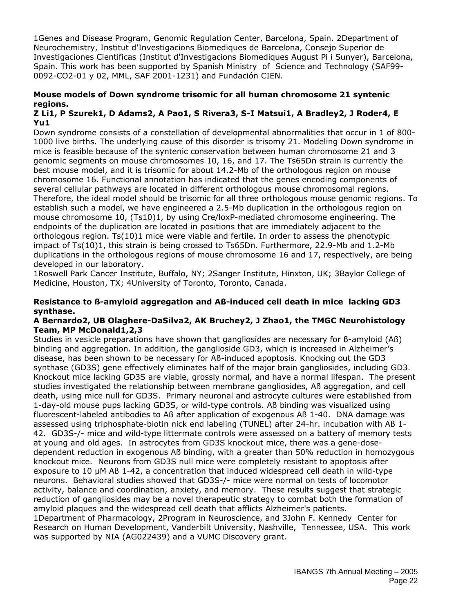1Genes and Disease Program, Genomic Regulation Center, Barcelona, Spain. 2Department of Neurochemistry, Institut d'Investigacions Biomediques de Barcelona, Consejo Superior de Investigaciones Cientificas (Institut d'Investigacions Biomediques August Pi i Sunyer), Barcelona, Spain. This work has been supported by Spanish Ministry of Science and Technology (SAF99- 0092-CO2-01 y 02, MML, SAF 2001-1231) and Fundación CIEN.

#### **Mouse models of Down syndrome trisomic for all human chromosome 21 syntenic regions.**

#### **Z Li1, P Szurek1, D Adams2, A Pao1, S Rivera3, S-I Matsui1, A Bradley2, J Roder4, E Yu1**

Down syndrome consists of a constellation of developmental abnormalities that occur in 1 of 800- 1000 live births. The underlying cause of this disorder is trisomy 21. Modeling Down syndrome in mice is feasible because of the syntenic conservation between human chromosome 21 and 3 genomic segments on mouse chromosomes 10, 16, and 17. The Ts65Dn strain is currently the best mouse model, and it is trisomic for about 14.2-Mb of the orthologous region on mouse chromosome 16. Functional annotation has indicated that the genes encoding components of several cellular pathways are located in different orthologous mouse chromosomal regions. Therefore, the ideal model should be trisomic for all three orthologous mouse genomic regions. To establish such a model, we have engineered a 2.5-Mb duplication in the orthologous region on mouse chromosome 10, (Ts10)1, by using Cre/loxP-mediated chromosome engineering. The endpoints of the duplication are located in positions that are immediately adjacent to the orthologous region. Ts(10)1 mice were viable and fertile. In order to assess the phenotypic impact of Ts(10)1, this strain is being crossed to Ts65Dn. Furthermore, 22.9-Mb and 1.2-Mb duplications in the orthologous regions of mouse chromosome 16 and 17, respectively, are being developed in our laboratory.

1Roswell Park Cancer Institute, Buffalo, NY; 2Sanger Institute, Hinxton, UK; 3Baylor College of Medicine, Houston, TX; 4University of Toronto, Toronto, Canada.

#### **Resistance to ß-amyloid aggregation and Aß-induced cell death in mice lacking GD3 synthase.**

#### **A Bernardo2, UB Olaghere-DaSilva2, AK Bruchey2, J Zhao1, the TMGC Neurohistology Team, MP McDonald1,2,3**

Studies in vesicle preparations have shown that gangliosides are necessary for ß-amyloid (Aß) binding and aggregation. In addition, the ganglioside GD3, which is increased in Alzheimer's disease, has been shown to be necessary for Aß-induced apoptosis. Knocking out the GD3 synthase (GD3S) gene effectively eliminates half of the major brain gangliosides, including GD3. Knockout mice lacking GD3S are viable, grossly normal, and have a normal lifespan. The present studies investigated the relationship between membrane gangliosides, Aß aggregation, and cell death, using mice null for GD3S. Primary neuronal and astrocyte cultures were established from 1-day-old mouse pups lacking GD3S, or wild-type controls. Aß binding was visualized using fluorescent-labeled antibodies to Aß after application of exogenous Aß 1-40. DNA damage was assessed using triphosphate-biotin nick end labeling (TUNEL) after 24-hr. incubation with Aß 1- 42. GD3S-/- mice and wild-type littermate controls were assessed on a battery of memory tests at young and old ages. In astrocytes from GD3S knockout mice, there was a gene-dosedependent reduction in exogenous Aß binding, with a greater than 50% reduction in homozygous knockout mice. Neurons from GD3S null mice were completely resistant to apoptosis after exposure to 10 µM Aß 1-42, a concentration that induced widespread cell death in wild-type neurons. Behavioral studies showed that GD3S-/- mice were normal on tests of locomotor activity, balance and coordination, anxiety, and memory. These results suggest that strategic reduction of gangliosides may be a novel therapeutic strategy to combat both the formation of amyloid plaques and the widespread cell death that afflicts Alzheimer's patients. 1Department of Pharmacology, 2Program in Neuroscience, and 3John F. Kennedy Center for Research on Human Development, Vanderbilt University, Nashville, Tennessee, USA. This work was supported by NIA (AG022439) and a VUMC Discovery grant.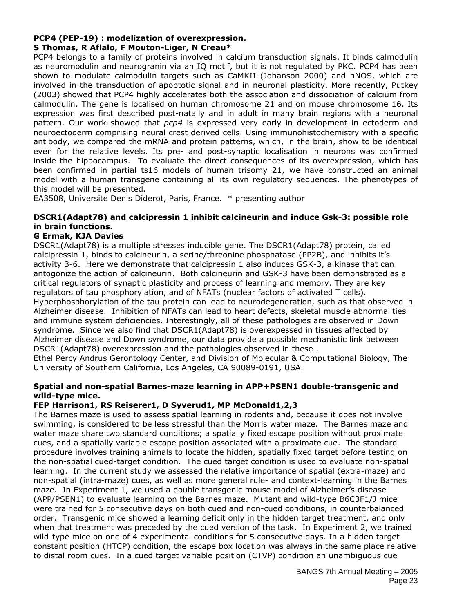## **PCP4 (PEP-19) : modelization of overexpression.**

#### **S Thomas, R Aflalo, F Mouton-Liger, N Creau\***

PCP4 belongs to a family of proteins involved in calcium transduction signals. It binds calmodulin as neuromodulin and neurogranin via an IQ motif, but it is not regulated by PKC. PCP4 has been shown to modulate calmodulin targets such as CaMKII (Johanson 2000) and nNOS, which are involved in the transduction of apoptotic signal and in neuronal plasticity. More recently, Putkey (2003) showed that PCP4 highly accelerates both the association and dissociation of calcium from calmodulin. The gene is localised on human chromosome 21 and on mouse chromosome 16. Its expression was first described post-natally and in adult in many brain regions with a neuronal pattern. Our work showed that *pcp4* is expressed very early in development in ectoderm and neuroectoderm comprising neural crest derived cells. Using immunohistochemistry with a specific antibody, we compared the mRNA and protein patterns, which, in the brain, show to be identical even for the relative levels. Its pre- and post-synaptic localisation in neurons was confirmed inside the hippocampus. To evaluate the direct consequences of its overexpression, which has been confirmed in partial ts16 models of human trisomy 21, we have constructed an animal model with a human transgene containing all its own regulatory sequences. The phenotypes of this model will be presented.

EA3508, Universite Denis Diderot, Paris, France. \* presenting author

#### **DSCR1(Adapt78) and calcipressin 1 inhibit calcineurin and induce Gsk-3: possible role in brain functions.**

#### **G Ermak, KJA Davies**

DSCR1(Adapt78) is a multiple stresses inducible gene. The DSCR1(Adapt78) protein, called calcipressin 1, binds to calcineurin, a serine/threonine phosphatase (PP2B), and inhibits it's activity 3-6. Here we demonstrate that calcipressin 1 also induces GSK-3, a kinase that can antogonize the action of calcineurin. Both calcineurin and GSK-3 have been demonstrated as a critical regulators of synaptic plasticity and process of learning and memory. They are key regulators of tau phosphorylation, and of NFATs (nuclear factors of activated T cells). Hyperphosphorylation of the tau protein can lead to neurodegeneration, such as that observed in Alzheimer disease. Inhibition of NFATs can lead to heart defects, skeletal muscle abnormalities and immune system deficiencies. Interestingly, all of these pathologies are observed in Down syndrome. Since we also find that DSCR1(Adapt78) is overexpessed in tissues affected by Alzheimer disease and Down syndrome, our data provide a possible mechanistic link between DSCR1(Adapt78) overexpression and the pathologies observed in these .

Ethel Percy Andrus Gerontology Center, and Division of Molecular & Computational Biology, The University of Southern California, Los Angeles, CA 90089-0191, USA.

#### **Spatial and non-spatial Barnes-maze learning in APP+PSEN1 double-transgenic and wild-type mice.**

#### **FEP Harrison1, RS Reiserer1, D Syverud1, MP McDonald1,2,3**

The Barnes maze is used to assess spatial learning in rodents and, because it does not involve swimming, is considered to be less stressful than the Morris water maze. The Barnes maze and water maze share two standard conditions; a spatially fixed escape position without proximate cues, and a spatially variable escape position associated with a proximate cue. The standard procedure involves training animals to locate the hidden, spatially fixed target before testing on the non-spatial cued-target condition. The cued target condition is used to evaluate non-spatial learning. In the current study we assessed the relative importance of spatial (extra-maze) and non-spatial (intra-maze) cues, as well as more general rule- and context-learning in the Barnes maze. In Experiment 1, we used a double transgenic mouse model of Alzheimer's disease (APP/PSEN1) to evaluate learning on the Barnes maze. Mutant and wild-type B6C3F1/J mice were trained for 5 consecutive days on both cued and non-cued conditions, in counterbalanced order. Transgenic mice showed a learning deficit only in the hidden target treatment, and only when that treatment was preceded by the cued version of the task. In Experiment 2, we trained wild-type mice on one of 4 experimental conditions for 5 consecutive days. In a hidden target constant position (HTCP) condition, the escape box location was always in the same place relative to distal room cues. In a cued target variable position (CTVP) condition an unambiguous cue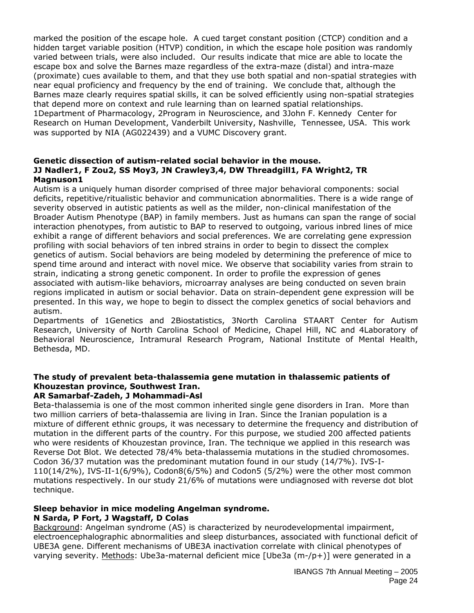marked the position of the escape hole. A cued target constant position (CTCP) condition and a hidden target variable position (HTVP) condition, in which the escape hole position was randomly varied between trials, were also included. Our results indicate that mice are able to locate the escape box and solve the Barnes maze regardless of the extra-maze (distal) and intra-maze (proximate) cues available to them, and that they use both spatial and non-spatial strategies with near equal proficiency and frequency by the end of training. We conclude that, although the Barnes maze clearly requires spatial skills, it can be solved efficiently using non-spatial strategies that depend more on context and rule learning than on learned spatial relationships. 1Department of Pharmacology, 2Program in Neuroscience, and 3John F. Kennedy Center for Research on Human Development, Vanderbilt University, Nashville, Tennessee, USA. This work was supported by NIA (AG022439) and a VUMC Discovery grant.

#### **Genetic dissection of autism-related social behavior in the mouse. JJ Nadler1, F Zou2, SS Moy3, JN Crawley3,4, DW Threadgill1, FA Wright2, TR Magnuson1**

Autism is a uniquely human disorder comprised of three major behavioral components: social deficits, repetitive/ritualistic behavior and communication abnormalities. There is a wide range of severity observed in autistic patients as well as the milder, non-clinical manifestation of the Broader Autism Phenotype (BAP) in family members. Just as humans can span the range of social interaction phenotypes, from autistic to BAP to reserved to outgoing, various inbred lines of mice exhibit a range of different behaviors and social preferences. We are correlating gene expression profiling with social behaviors of ten inbred strains in order to begin to dissect the complex genetics of autism. Social behaviors are being modeled by determining the preference of mice to spend time around and interact with novel mice. We observe that sociability varies from strain to strain, indicating a strong genetic component. In order to profile the expression of genes associated with autism-like behaviors, microarray analyses are being conducted on seven brain regions implicated in autism or social behavior. Data on strain-dependent gene expression will be presented. In this way, we hope to begin to dissect the complex genetics of social behaviors and autism.

Departments of 1Genetics and 2Biostatistics, 3North Carolina STAART Center for Autism Research, University of North Carolina School of Medicine, Chapel Hill, NC and 4Laboratory of Behavioral Neuroscience, Intramural Research Program, National Institute of Mental Health, Bethesda, MD.

## **The study of prevalent beta-thalassemia gene mutation in thalassemic patients of Khouzestan province, Southwest Iran.**

## **AR Samarbaf-Zadeh, J Mohammadi-Asl**

Beta-thalassemia is one of the most common inherited single gene disorders in Iran. More than two million carriers of beta-thalassemia are living in Iran. Since the Iranian population is a mixture of different ethnic groups, it was necessary to determine the frequency and distribution of mutation in the different parts of the country. For this purpose, we studied 200 affected patients who were residents of Khouzestan province, Iran. The technique we applied in this research was Reverse Dot Blot. We detected 78/4% beta-thalassemia mutations in the studied chromosomes. Codon 36/37 mutation was the predominant mutation found in our study (14/7%). IVS-I-110(14/2%), IVS-II-1(6/9%), Codon8(6/5%) and Codon5 (5/2%) were the other most common mutations respectively. In our study 21/6% of mutations were undiagnosed with reverse dot blot technique.

## **Sleep behavior in mice modeling Angelman syndrome.**

## **N Sarda, P Fort, J Wagstaff, D Colas**

Background: Angelman syndrome (AS) is characterized by neurodevelopmental impairment, electroencephalographic abnormalities and sleep disturbances, associated with functional deficit of UBE3A gene. Different mechanisms of UBE3A inactivation correlate with clinical phenotypes of varying severity. Methods: Ube3a-maternal deficient mice [Ube3a (m-/p+)] were generated in a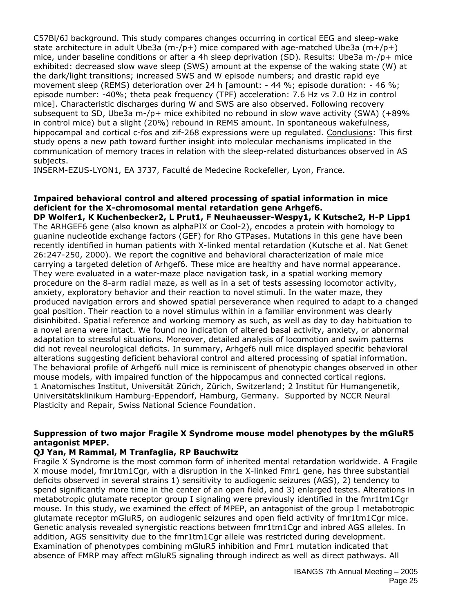C57Bl/6J background. This study compares changes occurring in cortical EEG and sleep-wake state architecture in adult Ube3a  $(m-[p+)]$  mice compared with age-matched Ube3a  $(m+[p+)]$ mice, under baseline conditions or after a 4h sleep deprivation (SD). Results: Ube3a m-/p+ mice exhibited: decreased slow wave sleep (SWS) amount at the expense of the waking state (W) at the dark/light transitions; increased SWS and W episode numbers; and drastic rapid eye movement sleep (REMS) deterioration over 24 h [amount: - 44 %; episode duration: - 46 %; episode number: -40%; theta peak frequency (TPF) acceleration: 7.6 Hz vs 7.0 Hz in control mice]. Characteristic discharges during W and SWS are also observed. Following recovery subsequent to SD, Ube3a m-/p+ mice exhibited no rebound in slow wave activity (SWA) (+89% in control mice) but a slight (20%) rebound in REMS amount. In spontaneous wakefulness, hippocampal and cortical c-fos and zif-268 expressions were up regulated. Conclusions: This first study opens a new path toward further insight into molecular mechanisms implicated in the communication of memory traces in relation with the sleep-related disturbances observed in AS subjects.

INSERM-EZUS-LYON1, EA 3737, Faculté de Medecine Rockefeller, Lyon, France.

#### **Impaired behavioral control and altered processing of spatial information in mice deficient for the X-chromosomal mental retardation gene Arhgef6.**

**DP Wolfer1, K Kuchenbecker2, L Prut1, F Neuhaeusser-Wespy1, K Kutsche2, H-P Lipp1** The ARHGEF6 gene (also known as alphaPIX or Cool-2), encodes a protein with homology to guanine nucleotide exchange factors (GEF) for Rho GTPases. Mutations in this gene have been recently identified in human patients with X-linked mental retardation (Kutsche et al. Nat Genet 26:247-250, 2000). We report the cognitive and behavioral characterization of male mice carrying a targeted deletion of Arhgef6. These mice are healthy and have normal appearance. They were evaluated in a water-maze place navigation task, in a spatial working memory procedure on the 8-arm radial maze, as well as in a set of tests assessing locomotor activity, anxiety, exploratory behavior and their reaction to novel stimuli. In the water maze, they produced navigation errors and showed spatial perseverance when required to adapt to a changed goal position. Their reaction to a novel stimulus within in a familiar environment was clearly disinhibited. Spatial reference and working memory as such, as well as day to day habituation to a novel arena were intact. We found no indication of altered basal activity, anxiety, or abnormal adaptation to stressful situations. Moreover, detailed analysis of locomotion and swim patterns did not reveal neurological deficits. In summary, Arhgef6 null mice displayed specific behavioral alterations suggesting deficient behavioral control and altered processing of spatial information. The behavioral profile of Arhgef6 null mice is reminiscent of phenotypic changes observed in other mouse models, with impaired function of the hippocampus and connected cortical regions. 1 Anatomisches Institut, Universität Zürich, Zürich, Switzerland; 2 Institut für Humangenetik, Universitätsklinikum Hamburg-Eppendorf, Hamburg, Germany. Supported by NCCR Neural Plasticity and Repair, Swiss National Science Foundation.

#### **Suppression of two major Fragile X Syndrome mouse model phenotypes by the mGluR5 antagonist MPEP.**

#### **QJ Yan, M Rammal, M Tranfaglia, RP Bauchwitz**

Fragile X Syndrome is the most common form of inherited mental retardation worldwide. A Fragile X mouse model, fmr1tm1Cgr, with a disruption in the X-linked Fmr1 gene, has three substantial deficits observed in several strains 1) sensitivity to audiogenic seizures (AGS), 2) tendency to spend significantly more time in the center of an open field, and 3) enlarged testes. Alterations in metabotropic glutamate receptor group I signaling were previously identified in the fmr1tm1Cgr mouse. In this study, we examined the effect of MPEP, an antagonist of the group I metabotropic glutamate receptor mGluR5, on audiogenic seizures and open field activity of fmr1tm1Cgr mice. Genetic analysis revealed synergistic reactions between fmr1tm1Cgr and inbred AGS alleles. In addition, AGS sensitivity due to the fmr1tm1Cgr allele was restricted during development. Examination of phenotypes combining mGluR5 inhibition and Fmr1 mutation indicated that absence of FMRP may affect mGluR5 signaling through indirect as well as direct pathways. All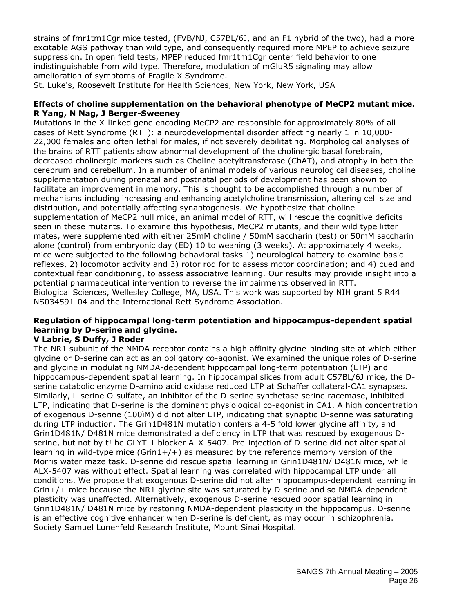strains of fmr1tm1Cgr mice tested, (FVB/NJ, C57BL/6J, and an F1 hybrid of the two), had a more excitable AGS pathway than wild type, and consequently required more MPEP to achieve seizure suppression. In open field tests, MPEP reduced fmr1tm1Cgr center field behavior to one indistinguishable from wild type. Therefore, modulation of mGluR5 signaling may allow amelioration of symptoms of Fragile X Syndrome.

St. Luke's, Roosevelt Institute for Health Sciences, New York, New York, USA

#### **Effects of choline supplementation on the behavioral phenotype of MeCP2 mutant mice. R Yang, N Nag, J Berger-Sweeney**

Mutations in the X-linked gene encoding MeCP2 are responsible for approximately 80% of all cases of Rett Syndrome (RTT): a neurodevelopmental disorder affecting nearly 1 in 10,000- 22,000 females and often lethal for males, if not severely debilitating. Morphological analyses of the brains of RTT patients show abnormal development of the cholinergic basal forebrain, decreased cholinergic markers such as Choline acetyltransferase (ChAT), and atrophy in both the cerebrum and cerebellum. In a number of animal models of various neurological diseases, choline supplementation during prenatal and postnatal periods of development has been shown to facilitate an improvement in memory. This is thought to be accomplished through a number of mechanisms including increasing and enhancing acetylcholine transmission, altering cell size and distribution, and potentially affecting synaptogenesis. We hypothesize that choline supplementation of MeCP2 null mice, an animal model of RTT, will rescue the cognitive deficits seen in these mutants. To examine this hypothesis, MeCP2 mutants, and their wild type litter mates, were supplemented with either 25mM choline / 50mM saccharin (test) or 50mM saccharin alone (control) from embryonic day (ED) 10 to weaning (3 weeks). At approximately 4 weeks, mice were subjected to the following behavioral tasks 1) neurological battery to examine basic reflexes, 2) locomotor activity and 3) rotor rod for to assess motor coordination; and 4) cued and contextual fear conditioning, to assess associative learning. Our results may provide insight into a potential pharmaceutical intervention to reverse the impairments observed in RTT. Biological Sciences, Wellesley College, MA, USA. This work was supported by NIH grant 5 R44 NS034591-04 and the International Rett Syndrome Association.

## **Regulation of hippocampal long-term potentiation and hippocampus-dependent spatial learning by D-serine and glycine.**

#### **V Labrie, S Duffy, J Roder**

The NR1 subunit of the NMDA receptor contains a high affinity glycine-binding site at which either glycine or D-serine can act as an obligatory co-agonist. We examined the unique roles of D-serine and glycine in modulating NMDA-dependent hippocampal long-term potentiation (LTP) and hippocampus-dependent spatial learning. In hippocampal slices from adult C57BL/6J mice, the Dserine catabolic enzyme D-amino acid oxidase reduced LTP at Schaffer collateral-CA1 synapses. Similarly, L-serine O-sulfate, an inhibitor of the D-serine synthetase serine racemase, inhibited LTP, indicating that D-serine is the dominant physiological co-agonist in CA1. A high concentration of exogenous D-serine (100ìM) did not alter LTP, indicating that synaptic D-serine was saturating during LTP induction. The Grin1D481N mutation confers a 4-5 fold lower glycine affinity, and Grin1D481N/ D481N mice demonstrated a deficiency in LTP that was rescued by exogenous Dserine, but not by t! he GLYT-1 blocker ALX-5407. Pre-injection of D-serine did not alter spatial learning in wild-type mice (Grin1+/+) as measured by the reference memory version of the Morris water maze task. D-serine did rescue spatial learning in Grin1D481N/ D481N mice, while ALX-5407 was without effect. Spatial learning was correlated with hippocampal LTP under all conditions. We propose that exogenous D-serine did not alter hippocampus-dependent learning in Grin+/+ mice because the NR1 glycine site was saturated by D-serine and so NMDA-dependent plasticity was unaffected. Alternatively, exogenous D-serine rescued poor spatial learning in Grin1D481N/ D481N mice by restoring NMDA-dependent plasticity in the hippocampus. D-serine is an effective cognitive enhancer when D-serine is deficient, as may occur in schizophrenia. Society Samuel Lunenfeld Research Institute, Mount Sinai Hospital.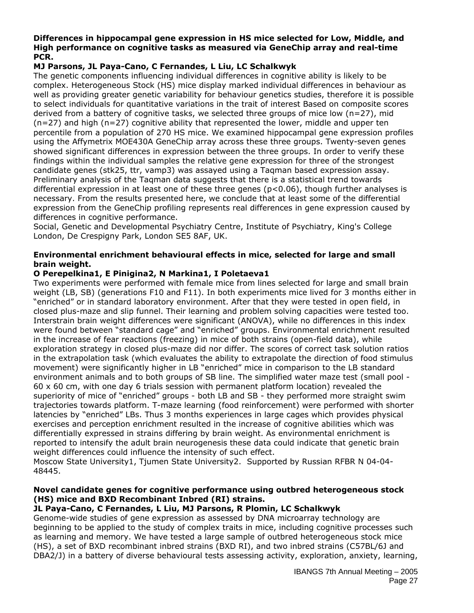#### **Differences in hippocampal gene expression in HS mice selected for Low, Middle, and High performance on cognitive tasks as measured via GeneChip array and real-time PCR.**

### **MJ Parsons, JL Paya-Cano, C Fernandes, L Liu, LC Schalkwyk**

The genetic components influencing individual differences in cognitive ability is likely to be complex. Heterogeneous Stock (HS) mice display marked individual differences in behaviour as well as providing greater genetic variability for behaviour genetics studies, therefore it is possible to select individuals for quantitative variations in the trait of interest Based on composite scores derived from a battery of cognitive tasks, we selected three groups of mice low (n=27), mid  $(n=27)$  and high  $(n=27)$  cognitive ability that represented the lower, middle and upper ten percentile from a population of 270 HS mice. We examined hippocampal gene expression profiles using the Affymetrix MOE430A GeneChip array across these three groups. Twenty-seven genes showed significant differences in expression between the three groups. In order to verify these findings within the individual samples the relative gene expression for three of the strongest candidate genes (stk25, ttr, vamp3) was assayed using a Taqman based expression assay. Preliminary analysis of the Taqman data suggests that there is a statistical trend towards differential expression in at least one of these three genes (p<0.06), though further analyses is necessary. From the results presented here, we conclude that at least some of the differential expression from the GeneChip profiling represents real differences in gene expression caused by differences in cognitive performance.

Social, Genetic and Developmental Psychiatry Centre, Institute of Psychiatry, King's College London, De Crespigny Park, London SE5 8AF, UK.

#### **Environmental enrichment behavioural effects in mice, selected for large and small brain weight.**

#### **O Perepelkina1, E Pinigina2, N Markina1, I Poletaeva1**

Two experiments were performed with female mice from lines selected for large and small brain weight (LB, SB) (generations F10 and F11). In both experiments mice lived for 3 months either in "enriched" or in standard laboratory environment. After that they were tested in open field, in closed plus-maze and slip funnel. Their learning and problem solving capacities were tested too. Interstrain brain weight differences were significant (ANOVA), while no differences in this index were found between "standard cage" and "enriched" groups. Environmental enrichment resulted in the increase of fear reactions (freezing) in mice of both strains (open-field data), while exploration strategy in closed plus-maze did nor differ. The scores of correct task solution ratios in the extrapolation task (which evaluates the ability to extrapolate the direction of food stimulus movement) were significantly higher in LB "enriched" mice in comparison to the LB standard environment animals and to both groups of SB line. The simplified water maze test (small pool -  $60 \times 60$  cm, with one day 6 trials session with permanent platform location) revealed the superiority of mice of "enriched" groups - both LB and SB - they performed more straight swim trajectories towards platform. T-maze learning (food reinforcement) were performed with shorter latencies by "enriched" LBs. Thus 3 months experiences in large cages which provides physical exercises and perception enrichment resulted in the increase of cognitive abilities which was differentially expressed in strains differing by brain weight. As environmental enrichment is reported to intensify the adult brain neurogenesis these data could indicate that genetic brain weight differences could influence the intensity of such effect.

Moscow State University1, Tjumen State University2. Supported by Russian RFBR N 04-04- 48445.

#### **Novel candidate genes for cognitive performance using outbred heterogeneous stock (HS) mice and BXD Recombinant Inbred (RI) strains.**

#### **JL Paya-Cano, C Fernandes, L Liu, MJ Parsons, R Plomin, LC Schalkwyk**

Genome-wide studies of gene expression as assessed by DNA microarray technology are beginning to be applied to the study of complex traits in mice, including cognitive processes such as learning and memory. We have tested a large sample of outbred heterogeneous stock mice (HS), a set of BXD recombinant inbred strains (BXD RI), and two inbred strains (C57BL/6J and DBA2/J) in a battery of diverse behavioural tests assessing activity, exploration, anxiety, learning,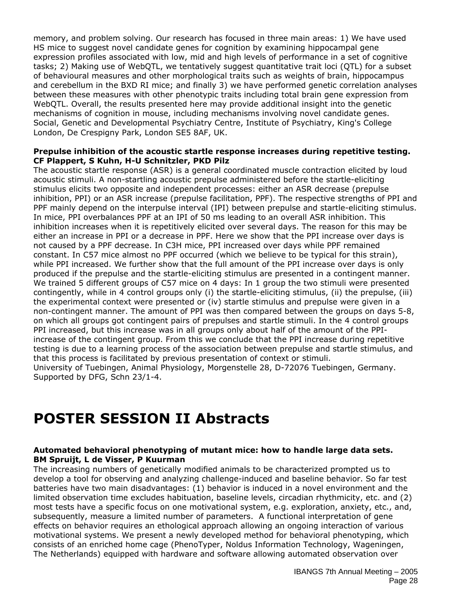memory, and problem solving. Our research has focused in three main areas: 1) We have used HS mice to suggest novel candidate genes for cognition by examining hippocampal gene expression profiles associated with low, mid and high levels of performance in a set of cognitive tasks; 2) Making use of WebQTL, we tentatively suggest quantitative trait loci (QTL) for a subset of behavioural measures and other morphological traits such as weights of brain, hippocampus and cerebellum in the BXD RI mice; and finally 3) we have performed genetic correlation analyses between these measures with other phenotypic traits including total brain gene expression from WebQTL. Overall, the results presented here may provide additional insight into the genetic mechanisms of cognition in mouse, including mechanisms involving novel candidate genes. Social, Genetic and Developmental Psychiatry Centre, Institute of Psychiatry, King's College London, De Crespigny Park, London SE5 8AF, UK.

#### **Prepulse inhibition of the acoustic startle response increases during repetitive testing. CF Plappert, S Kuhn, H-U Schnitzler, PKD Pilz**

The acoustic startle response (ASR) is a general coordinated muscle contraction elicited by loud acoustic stimuli. A non-startling acoustic prepulse administered before the startle-eliciting stimulus elicits two opposite and independent processes: either an ASR decrease (prepulse inhibition, PPI) or an ASR increase (prepulse facilitation, PPF). The respective strengths of PPI and PPF mainly depend on the interpulse interval (IPI) between prepulse and startle-eliciting stimulus. In mice, PPI overbalances PPF at an IPI of 50 ms leading to an overall ASR inhibition. This inhibition increases when it is repetitively elicited over several days. The reason for this may be either an increase in PPI or a decrease in PPF. Here we show that the PPI increase over days is not caused by a PPF decrease. In C3H mice, PPI increased over days while PPF remained constant. In C57 mice almost no PPF occurred (which we believe to be typical for this strain), while PPI increased. We further show that the full amount of the PPI increase over days is only produced if the prepulse and the startle-eliciting stimulus are presented in a contingent manner. We trained 5 different groups of C57 mice on 4 days: In 1 group the two stimuli were presented contingently, while in 4 control groups only (i) the startle-eliciting stimulus, (ii) the prepulse, (iii) the experimental context were presented or (iv) startle stimulus and prepulse were given in a non-contingent manner. The amount of PPI was then compared between the groups on days 5-8, on which all groups got contingent pairs of prepulses and startle stimuli. In the 4 control groups PPI increased, but this increase was in all groups only about half of the amount of the PPIincrease of the contingent group. From this we conclude that the PPI increase during repetitive testing is due to a learning process of the association between prepulse and startle stimulus, and that this process is facilitated by previous presentation of context or stimuli. University of Tuebingen, Animal Physiology, Morgenstelle 28, D-72076 Tuebingen, Germany. Supported by DFG, Schn 23/1-4.

## **POSTER SESSION II Abstracts**

#### **Automated behavioral phenotyping of mutant mice: how to handle large data sets. BM Spruijt, L de Visser, P Kuurman**

The increasing numbers of genetically modified animals to be characterized prompted us to develop a tool for observing and analyzing challenge-induced and baseline behavior. So far test batteries have two main disadvantages: (1) behavior is induced in a novel environment and the limited observation time excludes habituation, baseline levels, circadian rhythmicity, etc. and (2) most tests have a specific focus on one motivational system, e.g. exploration, anxiety, etc., and, subsequently, measure a limited number of parameters. A functional interpretation of gene effects on behavior requires an ethological approach allowing an ongoing interaction of various motivational systems. We present a newly developed method for behavioral phenotyping, which consists of an enriched home cage (PhenoTyper, Noldus Information Technology, Wageningen, The Netherlands) equipped with hardware and software allowing automated observation over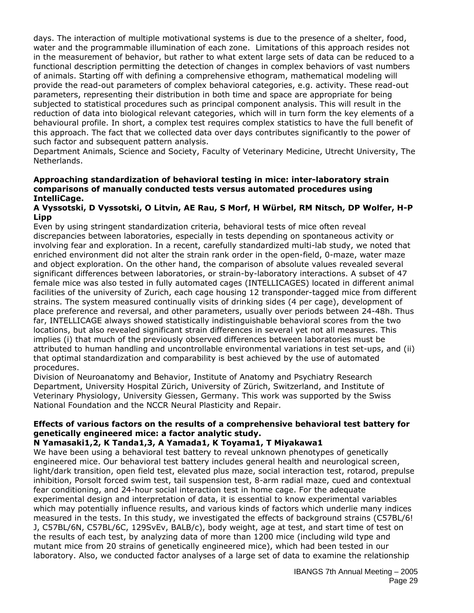days. The interaction of multiple motivational systems is due to the presence of a shelter, food, water and the programmable illumination of each zone. Limitations of this approach resides not in the measurement of behavior, but rather to what extent large sets of data can be reduced to a functional description permitting the detection of changes in complex behaviors of vast numbers of animals. Starting off with defining a comprehensive ethogram, mathematical modeling will provide the read-out parameters of complex behavioral categories, e.g. activity. These read-out parameters, representing their distribution in both time and space are appropriate for being subjected to statistical procedures such as principal component analysis. This will result in the reduction of data into biological relevant categories, which will in turn form the key elements of a behavioural profile. In short, a complex test requires complex statistics to have the full benefit of this approach. The fact that we collected data over days contributes significantly to the power of such factor and subsequent pattern analysis.

Department Animals, Science and Society, Faculty of Veterinary Medicine, Utrecht University, The Netherlands.

#### **Approaching standardization of behavioral testing in mice: inter-laboratory strain comparisons of manually conducted tests versus automated procedures using IntelliCage.**

#### **A Vyssotski, D Vyssotski, O Litvin, AE Rau, S Morf, H Würbel, RM Nitsch, DP Wolfer, H-P Lipp**

Even by using stringent standardization criteria, behavioral tests of mice often reveal discrepancies between laboratories, especially in tests depending on spontaneous activity or involving fear and exploration. In a recent, carefully standardized multi-lab study, we noted that enriched environment did not alter the strain rank order in the open-field, 0-maze, water maze and object exploration. On the other hand, the comparison of absolute values revealed several significant differences between laboratories, or strain-by-laboratory interactions. A subset of 47 female mice was also tested in fully automated cages (INTELLICAGES) located in different animal facilities of the university of Zurich, each cage housing 12 transponder-tagged mice from different strains. The system measured continually visits of drinking sides (4 per cage), development of place preference and reversal, and other parameters, usually over periods between 24-48h. Thus far, INTELLICAGE always showed statistically indistinguishable behavioral scores from the two locations, but also revealed significant strain differences in several yet not all measures. This implies (i) that much of the previously observed differences between laboratories must be attributed to human handling and uncontrollable environmental variations in test set-ups, and (ii) that optimal standardization and comparability is best achieved by the use of automated procedures.

Division of Neuroanatomy and Behavior, Institute of Anatomy and Psychiatry Research Department, University Hospital Zürich, University of Zürich, Switzerland, and Institute of Veterinary Physiology, University Giessen, Germany. This work was supported by the Swiss National Foundation and the NCCR Neural Plasticity and Repair.

## **Effects of various factors on the results of a comprehensive behavioral test battery for genetically engineered mice: a factor analytic study.**

#### **N Yamasaki1,2, K Tanda1,3, A Yamada1, K Toyama1, T Miyakawa1**

We have been using a behavioral test battery to reveal unknown phenotypes of genetically engineered mice. Our behavioral test battery includes general health and neurological screen, light/dark transition, open field test, elevated plus maze, social interaction test, rotarod, prepulse inhibition, Porsolt forced swim test, tail suspension test, 8-arm radial maze, cued and contextual fear conditioning, and 24-hour social interaction test in home cage. For the adequate experimental design and interpretation of data, it is essential to know experimental variables which may potentially influence results, and various kinds of factors which underlie many indices measured in the tests. In this study, we investigated the effects of background strains (C57BL/6! J, C57BL/6N, C57BL/6C, 129SvEv, BALB/c), body weight, age at test, and start time of test on the results of each test, by analyzing data of more than 1200 mice (including wild type and mutant mice from 20 strains of genetically engineered mice), which had been tested in our laboratory. Also, we conducted factor analyses of a large set of data to examine the relationship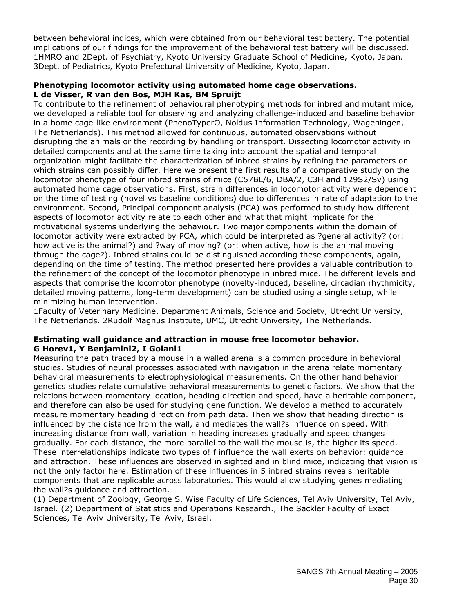between behavioral indices, which were obtained from our behavioral test battery. The potential implications of our findings for the improvement of the behavioral test battery will be discussed. 1HMRO and 2Dept. of Psychiatry, Kyoto University Graduate School of Medicine, Kyoto, Japan. 3Dept. of Pediatrics, Kyoto Prefectural University of Medicine, Kyoto, Japan.

#### **Phenotyping locomotor activity using automated home cage observations. L de Visser, R van den Bos, MJH Kas, BM Spruijt**

To contribute to the refinement of behavioural phenotyping methods for inbred and mutant mice, we developed a reliable tool for observing and analyzing challenge-induced and baseline behavior in a home cage-like environment (PhenoTyperÒ, Noldus Information Technology, Wageningen, The Netherlands). This method allowed for continuous, automated observations without disrupting the animals or the recording by handling or transport. Dissecting locomotor activity in detailed components and at the same time taking into account the spatial and temporal organization might facilitate the characterization of inbred strains by refining the parameters on which strains can possibly differ. Here we present the first results of a comparative study on the locomotor phenotype of four inbred strains of mice (C57BL/6, DBA/2, C3H and 129S2/Sv) using automated home cage observations. First, strain differences in locomotor activity were dependent on the time of testing (novel vs baseline conditions) due to differences in rate of adaptation to the environment. Second, Principal component analysis (PCA) was performed to study how different aspects of locomotor activity relate to each other and what that might implicate for the motivational systems underlying the behaviour. Two major components within the domain of locomotor activity were extracted by PCA, which could be interpreted as ?general activity? (or: how active is the animal?) and ?way of moving? (or: when active, how is the animal moving through the cage?). Inbred strains could be distinguished according these components, again, depending on the time of testing. The method presented here provides a valuable contribution to the refinement of the concept of the locomotor phenotype in inbred mice. The different levels and aspects that comprise the locomotor phenotype (novelty-induced, baseline, circadian rhythmicity, detailed moving patterns, long-term development) can be studied using a single setup, while minimizing human intervention.

1Faculty of Veterinary Medicine, Department Animals, Science and Society, Utrecht University, The Netherlands. 2Rudolf Magnus Institute, UMC, Utrecht University, The Netherlands.

#### **Estimating wall guidance and attraction in mouse free locomotor behavior. G Horev1, Y Benjamini2, I Golani1**

Measuring the path traced by a mouse in a walled arena is a common procedure in behavioral studies. Studies of neural processes associated with navigation in the arena relate momentary behavioral measurements to electrophysiological measurements. On the other hand behavior genetics studies relate cumulative behavioral measurements to genetic factors. We show that the relations between momentary location, heading direction and speed, have a heritable component, and therefore can also be used for studying gene function. We develop a method to accurately measure momentary heading direction from path data. Then we show that heading direction is influenced by the distance from the wall, and mediates the wall?s influence on speed. With increasing distance from wall, variation in heading increases gradually and speed changes gradually. For each distance, the more parallel to the wall the mouse is, the higher its speed. These interrelationships indicate two types o! f influence the wall exerts on behavior: guidance and attraction. These influences are observed in sighted and in blind mice, indicating that vision is not the only factor here. Estimation of these influences in 5 inbred strains reveals heritable components that are replicable across laboratories. This would allow studying genes mediating the wall?s guidance and attraction.

(1) Department of Zoology, George S. Wise Faculty of Life Sciences, Tel Aviv University, Tel Aviv, Israel. (2) Department of Statistics and Operations Research., The Sackler Faculty of Exact Sciences, Tel Aviv University, Tel Aviv, Israel.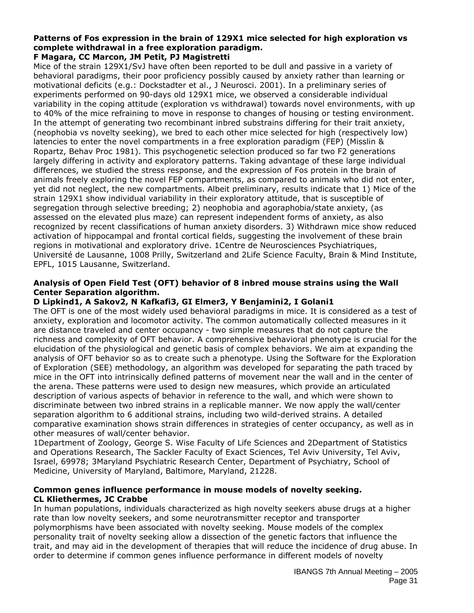## **Patterns of Fos expression in the brain of 129X1 mice selected for high exploration vs complete withdrawal in a free exploration paradigm.**

## **F Magara, CC Marcon, JM Petit, PJ Magistretti**

Mice of the strain 129X1/SvJ have often been reported to be dull and passive in a variety of behavioral paradigms, their poor proficiency possibly caused by anxiety rather than learning or motivational deficits (e.g.: Dockstadter et al., J Neurosci. 2001). In a preliminary series of experiments performed on 90-days old 129X1 mice, we observed a considerable individual variability in the coping attitude (exploration vs withdrawal) towards novel environments, with up to 40% of the mice refraining to move in response to changes of housing or testing environment. In the attempt of generating two recombinant inbred substrains differing for their trait anxiety, (neophobia vs novelty seeking), we bred to each other mice selected for high (respectively low) latencies to enter the novel compartments in a free exploration paradigm (FEP) (Misslin & Ropartz, Behav Proc 1981). This psychogenetic selection produced so far two F2 generations largely differing in activity and exploratory patterns. Taking advantage of these large individual differences, we studied the stress response, and the expression of Fos protein in the brain of animals freely exploring the novel FEP compartments, as compared to animals who did not enter, yet did not neglect, the new compartments. Albeit preliminary, results indicate that 1) Mice of the strain 129X1 show individual variability in their exploratory attitude, that is susceptible of segregation through selective breeding; 2) neophobia and agoraphobia/state anxiety, (as assessed on the elevated plus maze) can represent independent forms of anxiety, as also recognized by recent classifications of human anxiety disorders. 3) Withdrawn mice show reduced activation of hippocampal and frontal cortical fields, suggesting the involvement of these brain regions in motivational and exploratory drive. 1Centre de Neurosciences Psychiatriques, Université de Lausanne, 1008 Prilly, Switzerland and 2Life Science Faculty, Brain & Mind Institute, EPFL, 1015 Lausanne, Switzerland.

#### **Analysis of Open Field Test (OFT) behavior of 8 inbred mouse strains using the Wall Center Separation algorithm.**

#### **D Lipkind1, A Sakov2, N Kafkafi3, GI Elmer3, Y Benjamini2, I Golani1**

The OFT is one of the most widely used behavioral paradigms in mice. It is considered as a test of anxiety, exploration and locomotor activity. The common automatically collected measures in it are distance traveled and center occupancy - two simple measures that do not capture the richness and complexity of OFT behavior. A comprehensive behavioral phenotype is crucial for the elucidation of the physiological and genetic basis of complex behaviors. We aim at expanding the analysis of OFT behavior so as to create such a phenotype. Using the Software for the Exploration of Exploration (SEE) methodology, an algorithm was developed for separating the path traced by mice in the OFT into intrinsically defined patterns of movement near the wall and in the center of the arena. These patterns were used to design new measures, which provide an articulated description of various aspects of behavior in reference to the wall, and which were shown to discriminate between two inbred strains in a replicable manner. We now apply the wall/center separation algorithm to 6 additional strains, including two wild-derived strains. A detailed comparative examination shows strain differences in strategies of center occupancy, as well as in other measures of wall/center behavior.

1Department of Zoology, George S. Wise Faculty of Life Sciences and 2Department of Statistics and Operations Research, The Sackler Faculty of Exact Sciences, Tel Aviv University, Tel Aviv, Israel, 69978; 3Maryland Psychiatric Research Center, Department of Psychiatry, School of Medicine, University of Maryland, Baltimore, Maryland, 21228.

#### **Common genes influence performance in mouse models of novelty seeking. CL Kliethermes, JC Crabbe**

In human populations, individuals characterized as high novelty seekers abuse drugs at a higher rate than low novelty seekers, and some neurotransmitter receptor and transporter polymorphisms have been associated with novelty seeking. Mouse models of the complex personality trait of novelty seeking allow a dissection of the genetic factors that influence the trait, and may aid in the development of therapies that will reduce the incidence of drug abuse. In order to determine if common genes influence performance in different models of novelty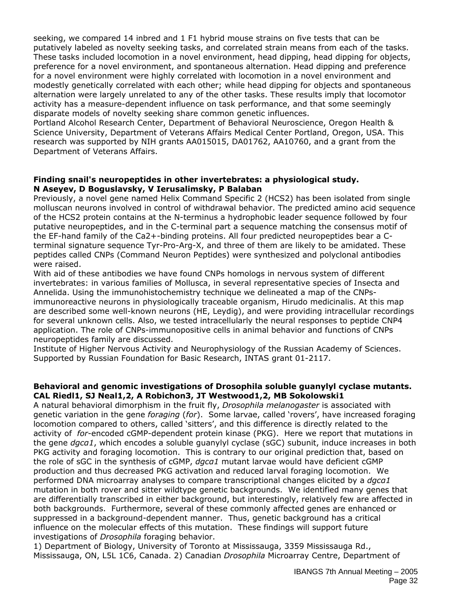seeking, we compared 14 inbred and 1 F1 hybrid mouse strains on five tests that can be putatively labeled as novelty seeking tasks, and correlated strain means from each of the tasks. These tasks included locomotion in a novel environment, head dipping, head dipping for objects, preference for a novel environment, and spontaneous alternation. Head dipping and preference for a novel environment were highly correlated with locomotion in a novel environment and modestly genetically correlated with each other; while head dipping for objects and spontaneous alternation were largely unrelated to any of the other tasks. These results imply that locomotor activity has a measure-dependent influence on task performance, and that some seemingly disparate models of novelty seeking share common genetic influences.

Portland Alcohol Research Center, Department of Behavioral Neuroscience, Oregon Health & Science University, Department of Veterans Affairs Medical Center Portland, Oregon, USA. This research was supported by NIH grants AA015015, DA01762, AA10760, and a grant from the Department of Veterans Affairs.

#### **Finding snail's neuropeptides in other invertebrates: a physiological study. N Aseyev, D Boguslavsky, V Ierusalimsky, P Balaban**

Previously, a novel gene named Helix Command Specific 2 (HCS2) has been isolated from single molluscan neurons involved in control of withdrawal behavior. The predicted amino acid sequence of the HCS2 protein contains at the N-terminus a hydrophobic leader sequence followed by four putative neuropeptides, and in the C-terminal part a sequence matching the consensus motif of the EF-hand family of the Ca2+-binding proteins. All four predicted neuropeptides bear a Cterminal signature sequence Tyr-Pro-Arg-X, and three of them are likely to be amidated. These peptides called CNPs (Command Neuron Peptides) were synthesized and polyclonal antibodies were raised.

With aid of these antibodies we have found CNPs homologs in nervous system of different invertebrates: in various families of Mollusca, in several representative species of Insecta and Annelida. Using the immunohistochemistry technique we delineated a map of the CNPsimmunoreactive neurons in physiologically traceable organism, Hirudo medicinalis. At this map are described some well-known neurons (HE, Leydig), and were providing intracellular recordings for several unknown cells. Also, we tested intracellularly the neural responses to peptide CNP4 application. The role of CNPs-immunopositive cells in animal behavior and functions of CNPs neuropeptides family are discussed.

Institute of Higher Nervous Activity and Neurophysiology of the Russian Academy of Sciences. Supported by Russian Foundation for Basic Research, INTAS grant 01-2117.

#### **Behavioral and genomic investigations of** *Drosophila* **soluble guanylyl cyclase mutants. CAL Riedl1, SJ Neal1,2, A Robichon3, JT Westwood1,2, MB Sokolowski1**

A natural behavioral dimorphism in the fruit fly, *Drosophila melanogaster* is associated with genetic variation in the gene *foraging* (*for*). Some larvae, called 'rovers', have increased foraging locomotion compared to others, called 'sitters', and this difference is directly related to the activity of *for*-encoded cGMP-dependent protein kinase (PKG). Here we report that mutations in the gene *dgcα1*, which encodes a soluble guanylyl cyclase (sGC) subunit, induce increases in both PKG activity and foraging locomotion. This is contrary to our original prediction that, based on the role of sGC in the synthesis of cGMP, *dgcα1* mutant larvae would have deficient cGMP production and thus decreased PKG activation and reduced larval foraging locomotion. We performed DNA microarray analyses to compare transcriptional changes elicited by a *dgcα1* mutation in both rover and sitter wildtype genetic backgrounds. We identified many genes that are differentially transcribed in either background, but interestingly, relatively few are affected in both backgrounds. Furthermore, several of these commonly affected genes are enhanced or suppressed in a background-dependent manner. Thus, genetic background has a critical influence on the molecular effects of this mutation. These findings will support future investigations of *Drosophila* foraging behavior.

1) Department of Biology, University of Toronto at Mississauga, 3359 Mississauga Rd., Mississauga, ON, L5L 1C6, Canada. 2) Canadian *Drosophila* Microarray Centre, Department of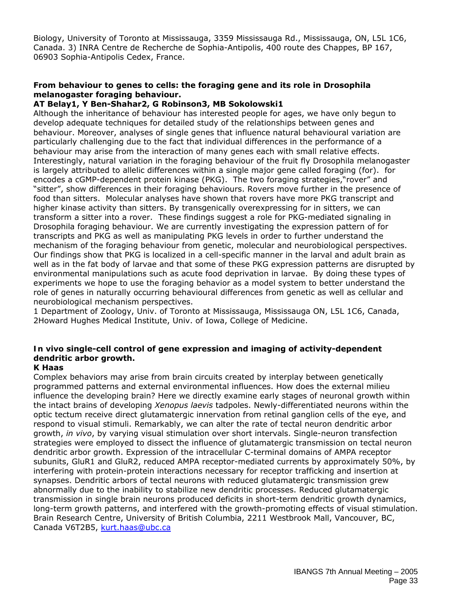Biology, University of Toronto at Mississauga, 3359 Mississauga Rd., Mississauga, ON, L5L 1C6, Canada. 3) INRA Centre de Recherche de Sophia-Antipolis, 400 route des Chappes, BP 167, 06903 Sophia-Antipolis Cedex, France.

#### **From behaviour to genes to cells: the foraging gene and its role in Drosophila melanogaster foraging behaviour.**

## **AT Belay1, Y Ben-Shahar2, G Robinson3, MB Sokolowski1**

Although the inheritance of behaviour has interested people for ages, we have only begun to develop adequate techniques for detailed study of the relationships between genes and behaviour. Moreover, analyses of single genes that influence natural behavioural variation are particularly challenging due to the fact that individual differences in the performance of a behaviour may arise from the interaction of many genes each with small relative effects. Interestingly, natural variation in the foraging behaviour of the fruit fly Drosophila melanogaster is largely attributed to allelic differences within a single major gene called foraging (for). for encodes a cGMP-dependent protein kinase (PKG). The two foraging strategies,"rover" and "sitter", show differences in their foraging behaviours. Rovers move further in the presence of food than sitters. Molecular analyses have shown that rovers have more PKG transcript and higher kinase activity than sitters. By transgenically overexpressing for in sitters, we can transform a sitter into a rover. These findings suggest a role for PKG-mediated signaling in Drosophila foraging behaviour. We are currently investigating the expression pattern of for transcripts and PKG as well as manipulating PKG levels in order to further understand the mechanism of the foraging behaviour from genetic, molecular and neurobiological perspectives. Our findings show that PKG is localized in a cell-specific manner in the larval and adult brain as well as in the fat body of larvae and that some of these PKG expression patterns are disrupted by environmental manipulations such as acute food deprivation in larvae. By doing these types of experiments we hope to use the foraging behavior as a model system to better understand the role of genes in naturally occurring behavioural differences from genetic as well as cellular and neurobiological mechanism perspectives.

1 Department of Zoology, Univ. of Toronto at Mississauga, Mississauga ON, L5L 1C6, Canada, 2Howard Hughes Medical Institute, Univ. of Iowa, College of Medicine.

## *In vivo* **single-cell control of gene expression and imaging of activity-dependent dendritic arbor growth.**

#### **K Haas**

Complex behaviors may arise from brain circuits created by interplay between genetically programmed patterns and external environmental influences. How does the external milieu influence the developing brain? Here we directly examine early stages of neuronal growth within the intact brains of developing *Xenopus laevis* tadpoles. Newly-differentiated neurons within the optic tectum receive direct glutamatergic innervation from retinal ganglion cells of the eye, and respond to visual stimuli. Remarkably, we can alter the rate of tectal neuron dendritic arbor growth, *in vivo*, by varying visual stimulation over short intervals. Single-neuron transfection strategies were employed to dissect the influence of glutamatergic transmission on tectal neuron dendritic arbor growth. Expression of the intracellular C-terminal domains of AMPA receptor subunits, GluR1 and GluR2, reduced AMPA receptor-mediated currents by approximately 50%, by interfering with protein-protein interactions necessary for receptor trafficking and insertion at synapses. Dendritic arbors of tectal neurons with reduced glutamatergic transmission grew abnormally due to the inability to stabilize new dendritic processes. Reduced glutamatergic transmission in single brain neurons produced deficits in short-term dendritic growth dynamics, long-term growth patterns, and interfered with the growth-promoting effects of visual stimulation. Brain Research Centre, University of British Columbia, 2211 Westbrook Mall, Vancouver, BC, Canada V6T2B5, kurt.haas@ubc.ca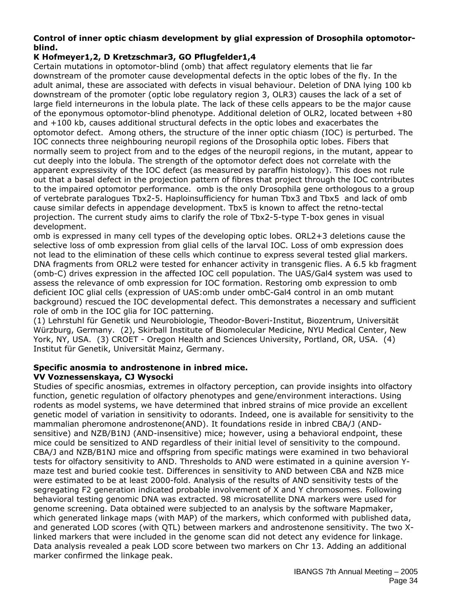#### **Control of inner optic chiasm development by glial expression of Drosophila optomotorblind.**

## **K Hofmeyer1,2, D Kretzschmar3, GO Pflugfelder1,4**

Certain mutations in optomotor-blind (omb) that affect regulatory elements that lie far downstream of the promoter cause developmental defects in the optic lobes of the fly. In the adult animal, these are associated with defects in visual behaviour. Deletion of DNA lying 100 kb downstream of the promoter (optic lobe regulatory region 3, OLR3) causes the lack of a set of large field interneurons in the lobula plate. The lack of these cells appears to be the major cause of the eponymous optomotor-blind phenotype. Additional deletion of OLR2, located between +80 and +100 kb, causes additional structural defects in the optic lobes and exacerbates the optomotor defect. Among others, the structure of the inner optic chiasm (IOC) is perturbed. The IOC connects three neighbouring neuropil regions of the Drosophila optic lobes. Fibers that normally seem to project from and to the edges of the neuropil regions, in the mutant, appear to cut deeply into the lobula. The strength of the optomotor defect does not correlate with the apparent expressivity of the IOC defect (as measured by paraffin histology). This does not rule out that a basal defect in the projection pattern of fibres that project through the IOC contributes to the impaired optomotor performance. omb is the only Drosophila gene orthologous to a group of vertebrate paralogues Tbx2-5. Haploinsufficiency for human Tbx3 and Tbx5 and lack of omb cause similar defects in appendage development. Tbx5 is known to affect the retno-tectal projection. The current study aims to clarify the role of Tbx2-5-type T-box genes in visual development.

omb is expressed in many cell types of the developing optic lobes. ORL2+3 deletions cause the selective loss of omb expression from glial cells of the larval IOC. Loss of omb expression does not lead to the elimination of these cells which continue to express several tested glial markers. DNA fragments from ORL2 were tested for enhancer activity in transgenic flies. A 6.5 kb fragment (omb-C) drives expression in the affected IOC cell population. The UAS/Gal4 system was used to assess the relevance of omb expression for IOC formation. Restoring omb expression to omb deficient IOC glial cells (expression of UAS:omb under ombC-Gal4 control in an omb mutant background) rescued the IOC developmental defect. This demonstrates a necessary and sufficient role of omb in the IOC glia for IOC patterning.

(1) Lehrstuhl für Genetik und Neurobiologie, Theodor-Boveri-Institut, Biozentrum, Universität Würzburg, Germany. (2), Skirball Institute of Biomolecular Medicine, NYU Medical Center, New York, NY, USA. (3) CROET - Oregon Health and Sciences University, Portland, OR, USA. (4) Institut für Genetik, Universität Mainz, Germany.

#### **Specific anosmia to androstenone in inbred mice. VV Voznessenskaya, CJ Wysocki**

Studies of specific anosmias, extremes in olfactory perception, can provide insights into olfactory function, genetic regulation of olfactory phenotypes and gene/environment interactions. Using rodents as model systems, we have determined that inbred strains of mice provide an excellent genetic model of variation in sensitivity to odorants. Indeed, one is available for sensitivity to the mammalian pheromone androstenone(AND). It foundations reside in inbred CBA/J (ANDsensitive) and NZB/B1NJ (AND-insensitive) mice; however, using a behavioral endpoint, these mice could be sensitized to AND regardless of their initial level of sensitivity to the compound. CBA/J and NZB/B1NJ mice and offspring from specific matings were examined in two behavioral tests for olfactory sensitivity to AND. Thresholds to AND were estimated in a quinine aversion Ymaze test and buried cookie test. Differences in sensitivity to AND between CBA and NZB mice were estimated to be at least 2000-fold. Analysis of the results of AND sensitivity tests of the segregating F2 generation indicated probable involvement of X and Y chromosomes. Following behavioral testing genomic DNA was extracted. 98 microsatellite DNA markers were used for genome screening. Data obtained were subjected to an analysis by the software Mapmaker, which generated linkage maps (with MAP) of the markers, which conformed with published data, and generated LOD scores (with QTL) between markers and androstenone sensitivity. The two Xlinked markers that were included in the genome scan did not detect any evidence for linkage. Data analysis revealed a peak LOD score between two markers on Chr 13. Adding an additional marker confirmed the linkage peak.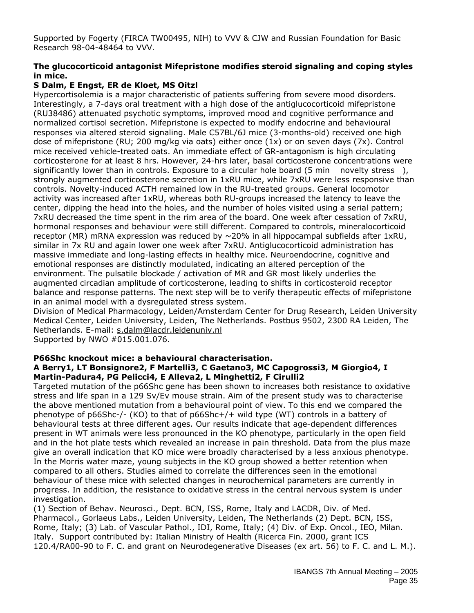Supported by Fogerty (FIRCA TW00495, NIH) to VVV & CJW and Russian Foundation for Basic Research 98-04-48464 to VVV.

#### **The glucocorticoid antagonist Mifepristone modifies steroid signaling and coping styles in mice.**

#### **S Dalm, E Engst, ER de Kloet, MS Oitzl**

Hypercortisolemia is a major characteristic of patients suffering from severe mood disorders. Interestingly, a 7-days oral treatment with a high dose of the antiglucocorticoid mifepristone (RU38486) attenuated psychotic symptoms, improved mood and cognitive performance and normalized cortisol secretion. Mifepristone is expected to modify endocrine and behavioural responses via altered steroid signaling. Male C57BL/6J mice (3-months-old) received one high dose of mifepristone (RU; 200 mg/kg via oats) either once (1x) or on seven days (7x). Control mice received vehicle-treated oats. An immediate effect of GR-antagonism is high circulating corticosterone for at least 8 hrs. However, 24-hrs later, basal corticosterone concentrations were significantly lower than in controls. Exposure to a circular hole board (5 min novelty stress), strongly augmented corticosterone secretion in 1xRU mice, while 7xRU were less responsive than controls. Novelty-induced ACTH remained low in the RU-treated groups. General locomotor activity was increased after 1xRU, whereas both RU-groups increased the latency to leave the center, dipping the head into the holes, and the number of holes visited using a serial pattern; 7xRU decreased the time spent in the rim area of the board. One week after cessation of 7xRU, hormonal responses and behaviour were still different. Compared to controls, mineralocorticoid receptor (MR) mRNA expression was reduced by  $\sim$  20% in all hippocampal subfields after 1xRU, similar in 7x RU and again lower one week after 7xRU. Antiglucocorticoid administration has massive immediate and long-lasting effects in healthy mice. Neuroendocrine, cognitive and emotional responses are distinctly modulated, indicating an altered perception of the environment. The pulsatile blockade / activation of MR and GR most likely underlies the augmented circadian amplitude of corticosterone, leading to shifts in corticosteroid receptor balance and response patterns. The next step will be to verify therapeutic effects of mifepristone in an animal model with a dysregulated stress system.

Division of Medical Pharmacology, Leiden/Amsterdam Center for Drug Research, Leiden University Medical Center, Leiden University, Leiden, The Netherlands. Postbus 9502, 2300 RA Leiden, The Netherlands. E-mail: s.dalm@lacdr.leidenuniv.nl

Supported by NWO #015.001.076.

#### **P66Shc knockout mice: a behavioural characterisation.**

#### **A Berry1, LT Bonsignore2, F Martelli3, C Gaetano3, MC Capogrossi3, M Giorgio4, I Martin-Padura4, PG Pelicci4, E Alleva2, L Minghetti2, F Cirulli2**

Targeted mutation of the p66Shc gene has been shown to increases both resistance to oxidative stress and life span in a 129 Sv/Ev mouse strain. Aim of the present study was to characterise the above mentioned mutation from a behavioural point of view. To this end we compared the phenotype of p66Shc-/- (KO) to that of p66Shc+/+ wild type (WT) controls in a battery of behavioural tests at three different ages. Our results indicate that age-dependent differences present in WT animals were less pronounced in the KO phenotype, particularly in the open field and in the hot plate tests which revealed an increase in pain threshold. Data from the plus maze give an overall indication that KO mice were broadly characterised by a less anxious phenotype. In the Morris water maze, young subjects in the KO group showed a better retention when compared to all others. Studies aimed to correlate the differences seen in the emotional behaviour of these mice with selected changes in neurochemical parameters are currently in progress. In addition, the resistance to oxidative stress in the central nervous system is under investigation.

(1) Section of Behav. Neurosci., Dept. BCN, ISS, Rome, Italy and LACDR, Div. of Med. Pharmacol., Gorlaeus Labs., Leiden University, Leiden, The Netherlands (2) Dept. BCN, ISS, Rome, Italy; (3) Lab. of Vascular Pathol., IDI, Rome, Italy; (4) Div. of Exp. Oncol., IEO, Milan. Italy. Support contributed by: Italian Ministry of Health (Ricerca Fin. 2000, grant ICS 120.4/RA00-90 to F. C. and grant on Neurodegenerative Diseases (ex art. 56) to F. C. and L. M.).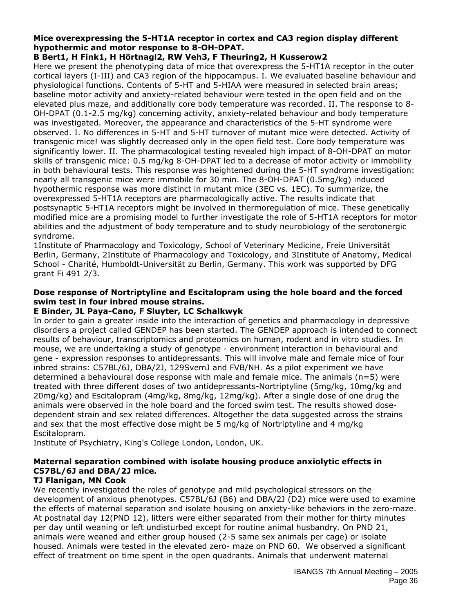#### **Mice overexpressing the 5-HT1A receptor in cortex and CA3 region display different hypothermic and motor response to 8-OH-DPAT.**

## **B Bert1, H Fink1, H Hörtnagl2, RW Veh3, F Theuring2, H Kusserow2**

Here we present the phenotyping data of mice that overexpress the 5-HT1A receptor in the outer cortical layers (I-III) and CA3 region of the hippocampus. I. We evaluated baseline behaviour and physiological functions. Contents of 5-HT and 5-HIAA were measured in selected brain areas; baseline motor activity and anxiety-related behaviour were tested in the open field and on the elevated plus maze, and additionally core body temperature was recorded. II. The response to 8- OH-DPAT (0.1-2.5 mg/kg) concerning activity, anxiety-related behaviour and body temperature was investigated. Moreover, the appearance and characteristics of the 5-HT syndrome were observed. I. No differences in 5-HT and 5-HT turnover of mutant mice were detected. Activity of transgenic mice! was slightly decreased only in the open field test. Core body temperature was significantly lower. II. The pharmacological testing revealed high impact of 8-OH-DPAT on motor skills of transgenic mice: 0.5 mg/kg 8-OH-DPAT led to a decrease of motor activity or immobility in both behavioural tests. This response was heightened during the 5-HT syndrome investigation: nearly all transgenic mice were immobile for 30 min. The 8-OH-DPAT (0.5mg/kg) induced hypothermic response was more distinct in mutant mice (3EC vs. 1EC). To summarize, the overexpressed 5-HT1A receptors are pharmacologically active. The results indicate that postsynaptic 5-HT1A receptors might be involved in thermoregulation of mice. These genetically modified mice are a promising model to further investigate the role of 5-HT1A receptors for motor abilities and the adjustment of body temperature and to study neurobiology of the serotonergic syndrome.

1Institute of Pharmacology and Toxicology, School of Veterinary Medicine, Freie Universität Berlin, Germany, 2Institute of Pharmacology and Toxicology, and 3Institute of Anatomy, Medical School - Charité, Humboldt-Universität zu Berlin, Germany. This work was supported by DFG grant Fi 491 2/3.

#### **Dose response of Nortriptyline and Escitalopram using the hole board and the forced swim test in four inbred mouse strains.**

#### **E Binder, JL Paya-Cano, F Sluyter, LC Schalkwyk**

In order to gain a greater inside into the interaction of genetics and pharmacology in depressive disorders a project called GENDEP has been started. The GENDEP approach is intended to connect results of behaviour, transcriptomics and proteomics on human, rodent and in vitro studies. In mouse, we are undertaking a study of genotype - environment interaction in behavioural and gene - expression responses to antidepressants. This will involve male and female mice of four inbred strains: C57BL/6J, DBA/2J, 129SvemJ and FVB/NH. As a pilot experiment we have determined a behavioural dose response with male and female mice. The animals (n=5) were treated with three different doses of two antidepressants-Nortriptyline (5mg/kg, 10mg/kg and 20mg/kg) and Escitalopram (4mg/kg, 8mg/kg, 12mg/kg). After a single dose of one drug the animals were observed in the hole board and the forced swim test. The results showed dosedependent strain and sex related differences. Altogether the data suggested across the strains and sex that the most effective dose might be 5 mg/kg of Nortriptyline and 4 mg/kg Escitalopram.

Institute of Psychiatry, King's College London, London, UK.

## **Maternal separation combined with isolate housing produce anxiolytic effects in C57BL/6J and DBA/2J mice.**

#### **TJ Flanigan, MN Cook**

We recently investigated the roles of genotype and mild psychological stressors on the development of anxious phenotypes. C57BL/6J (B6) and DBA/2J (D2) mice were used to examine the effects of maternal separation and isolate housing on anxiety-like behaviors in the zero-maze. At postnatal day 12(PND 12), litters were either separated from their mother for thirty minutes per day until weaning or left undisturbed except for routine animal husbandry. On PND 21, animals were weaned and either group housed (2-5 same sex animals per cage) or isolate housed. Animals were tested in the elevated zero- maze on PND 60. We observed a significant effect of treatment on time spent in the open quadrants. Animals that underwent maternal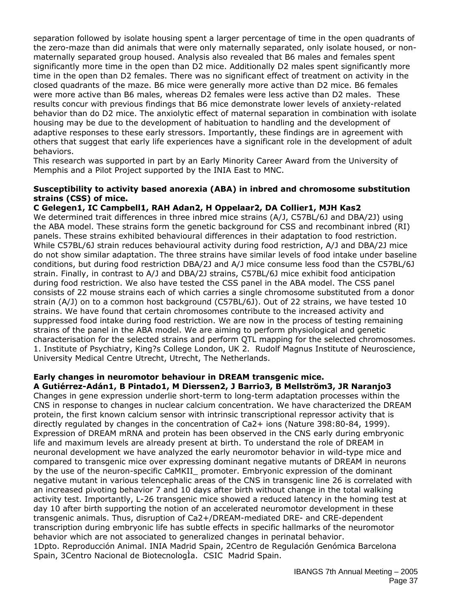separation followed by isolate housing spent a larger percentage of time in the open quadrants of the zero-maze than did animals that were only maternally separated, only isolate housed, or nonmaternally separated group housed. Analysis also revealed that B6 males and females spent significantly more time in the open than D2 mice. Additionally D2 males spent significantly more time in the open than D2 females. There was no significant effect of treatment on activity in the closed quadrants of the maze. B6 mice were generally more active than D2 mice. B6 females were more active than B6 males, whereas D2 females were less active than D2 males. These results concur with previous findings that B6 mice demonstrate lower levels of anxiety-related behavior than do D2 mice. The anxiolytic effect of maternal separation in combination with isolate housing may be due to the development of habituation to handling and the development of adaptive responses to these early stressors. Importantly, these findings are in agreement with others that suggest that early life experiences have a significant role in the development of adult behaviors.

This research was supported in part by an Early Minority Career Award from the University of Memphis and a Pilot Project supported by the INIA East to MNC.

#### **Susceptibility to activity based anorexia (ABA) in inbred and chromosome substitution strains (CSS) of mice.**

#### **C Gelegen1, IC Campbell1, RAH Adan2, H Oppelaar2, DA Collier1, MJH Kas2**

We determined trait differences in three inbred mice strains (A/J, C57BL/6J and DBA/2J) using the ABA model. These strains form the genetic background for CSS and recombinant inbred (RI) panels. These strains exhibited behavioural differences in their adaptation to food restriction. While C57BL/6J strain reduces behavioural activity during food restriction, A/J and DBA/2J mice do not show similar adaptation. The three strains have similar levels of food intake under baseline conditions, but during food restriction DBA/2J and A/J mice consume less food than the C57BL/6J strain. Finally, in contrast to A/J and DBA/2J strains, C57BL/6J mice exhibit food anticipation during food restriction. We also have tested the CSS panel in the ABA model. The CSS panel consists of 22 mouse strains each of which carries a single chromosome substituted from a donor strain (A/J) on to a common host background (C57BL/6J). Out of 22 strains, we have tested 10 strains. We have found that certain chromosomes contribute to the increased activity and suppressed food intake during food restriction. We are now in the process of testing remaining strains of the panel in the ABA model. We are aiming to perform physiological and genetic characterisation for the selected strains and perform QTL mapping for the selected chromosomes. 1. Institute of Psychiatry, King?s College London, UK 2. Rudolf Magnus Institute of Neuroscience, University Medical Centre Utrecht, Utrecht, The Netherlands.

#### **Early changes in neuromotor behaviour in DREAM transgenic mice. A Gutiérrez-Adán1, B Pintado1, M Dierssen2, J Barrio3, B Mellström3, JR Naranjo3**

Changes in gene expression underlie short-term to long-term adaptation processes within the CNS in response to changes in nuclear calcium concentration. We have characterized the DREAM protein, the first known calcium sensor with intrinsic transcriptional repressor activity that is directly regulated by changes in the concentration of Ca2+ ions (Nature 398:80-84, 1999). Expression of DREAM mRNA and protein has been observed in the CNS early during embryonic life and maximum levels are already present at birth. To understand the role of DREAM in neuronal development we have analyzed the early neuromotor behavior in wild-type mice and compared to transgenic mice over expressing dominant negative mutants of DREAM in neurons by the use of the neuron-specific CaMKII\_ promoter. Embryonic expression of the dominant negative mutant in various telencephalic areas of the CNS in transgenic line 26 is correlated with an increased pivoting behavior 7 and 10 days after birth without change in the total walking activity test. Importantly, L-26 transgenic mice showed a reduced latency in the homing test at day 10 after birth supporting the notion of an accelerated neuromotor development in these transgenic animals. Thus, disruption of Ca2+/DREAM-mediated DRE- and CRE-dependent transcription during embryonic life has subtle effects in specific hallmarks of the neuromotor behavior which are not associated to generalized changes in perinatal behavior. 1Dpto. Reproducción Animal. INIA Madrid Spain, 2Centro de Regulación Genómica Barcelona Spain, 3Centro Nacional de BiotecnologÌa. CSIC Madrid Spain.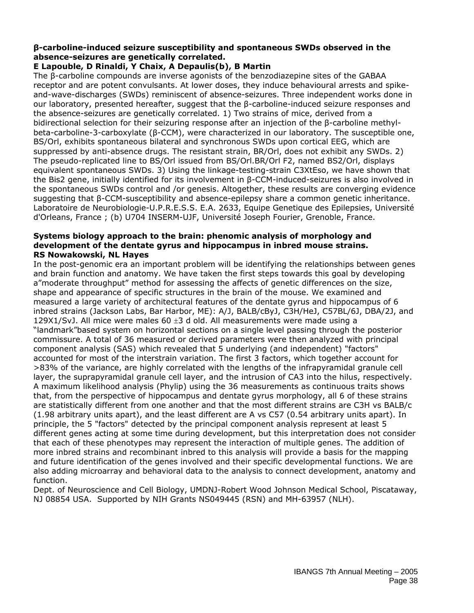#### **β-carboline-induced seizure susceptibility and spontaneous SWDs observed in the absence-seizures are genetically correlated.**

## **E Lapouble, D Rinaldi, Y Chaix, A Depaulis(b), B Martin**

The β-carboline compounds are inverse agonists of the benzodiazepine sites of the GABAA receptor and are potent convulsants. At lower doses, they induce behavioural arrests and spikeand-wave-discharges (SWDs) reminiscent of absence-seizures. Three independent works done in our laboratory, presented hereafter, suggest that the β-carboline-induced seizure responses and the absence-seizures are genetically correlated. 1) Two strains of mice, derived from a bidirectional selection for their seizuring response after an injection of the β-carboline methylbeta-carboline-3-carboxylate (β-CCM), were characterized in our laboratory. The susceptible one, BS/Orl, exhibits spontaneous bilateral and synchronous SWDs upon cortical EEG, which are suppressed by anti-absence drugs. The resistant strain, BR/Orl, does not exhibit any SWDs. 2) The pseudo-replicated line to BS/Orl issued from BS/Orl.BR/Orl F2, named BS2/Orl, displays equivalent spontaneous SWDs. 3) Using the linkage-testing-strain C3XtEso, we have shown that the Bis2 gene, initially identified for its involvement in β-CCM-induced-seizures is also involved in the spontaneous SWDs control and /or genesis. Altogether, these results are converging evidence suggesting that β-CCM-susceptibility and absence-epilepsy share a common genetic inheritance. Laboratoire de Neurobiologie-U.P.R.E.S.S. E.A. 2633, Equipe Genetique des Epilepsies, Université d'Orleans, France ; (b) U704 INSERM-UJF, Université Joseph Fourier, Grenoble, France.

#### **Systems biology approach to the brain: phenomic analysis of morphology and development of the dentate gyrus and hippocampus in inbred mouse strains. RS Nowakowski, NL Hayes**

In the post-genomic era an important problem will be identifying the relationships between genes and brain function and anatomy. We have taken the first steps towards this goal by developing a"moderate throughput" method for assessing the affects of genetic differences on the size, shape and appearance of specific structures in the brain of the mouse. We examined and measured a large variety of architectural features of the dentate gyrus and hippocampus of 6 inbred strains (Jackson Labs, Bar Harbor, ME): A/J, BALB/cByJ, C3H/HeJ, C57BL/6J, DBA/2J, and 129X1/SvJ. All mice were males 60 ±3 d old. All measurements were made using a "landmark"based system on horizontal sections on a single level passing through the posterior commissure. A total of 36 measured or derived parameters were then analyzed with principal component analysis (SAS) which revealed that 5 underlying (and independent) "factors" accounted for most of the interstrain variation. The first 3 factors, which together account for >83% of the variance, are highly correlated with the lengths of the infrapyramidal granule cell layer, the suprapyramidal granule cell layer, and the intrusion of CA3 into the hilus, respectively. A maximum likelihood analysis (Phylip) using the 36 measurements as continuous traits shows that, from the perspective of hippocampus and dentate gyrus morphology, all 6 of these strains are statistically different from one another and that the most different strains are C3H vs BALB/c (1.98 arbitrary units apart), and the least different are A vs C57 (0.54 arbitrary units apart). In principle, the 5 "factors" detected by the principal component analysis represent at least 5 different genes acting at some time during development, but this interpretation does not consider that each of these phenotypes may represent the interaction of multiple genes. The addition of more inbred strains and recombinant inbred to this analysis will provide a basis for the mapping and future identification of the genes involved and their specific developmental functions. We are also adding microarray and behavioral data to the analysis to connect development, anatomy and function.

Dept. of Neuroscience and Cell Biology, UMDNJ-Robert Wood Johnson Medical School, Piscataway, NJ 08854 USA. Supported by NIH Grants NS049445 (RSN) and MH-63957 (NLH).